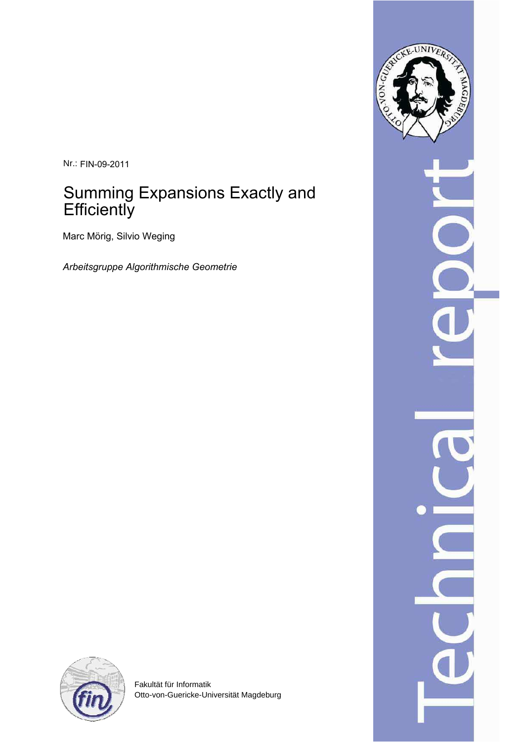Nr.: FIN-09-2011

# Summing Expansions Exactly and **Efficiently**

Marc Mörig, Silvio Weging

*Arbeitsgruppe Algorithmische Geometrie*





Fakultät für Informatik Otto-von-Guericke-Universität Magdeburg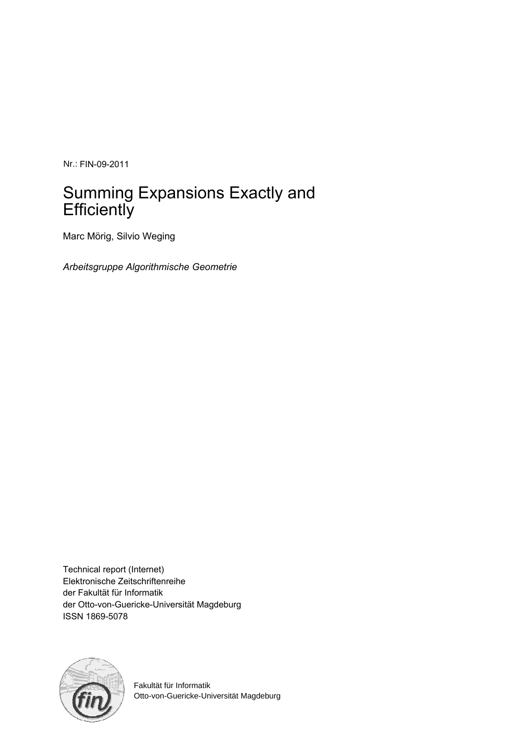Nr.: FIN-09-2011

# Summing Expansions Exactly and **Efficiently**

Marc Mörig, Silvio Weging

*Arbeitsgruppe Algorithmische Geometrie*

Technical report (Internet) Elektronische Zeitschriftenreihe der Fakultät für Informatik der Otto-von-Guericke-Universität Magdeburg ISSN 1869-5078



Fakultät für Informatik Otto-von-Guericke-Universität Magdeburg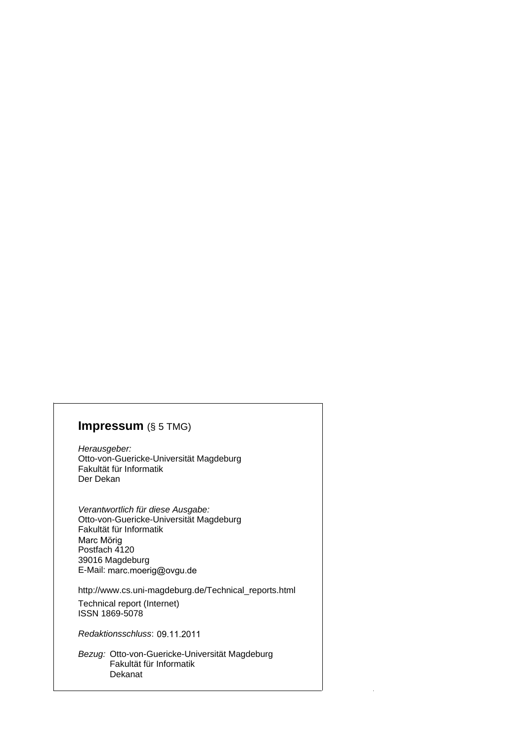# **Impressum** (§ 5 TMG)

Herausgeber: Otto-von-Guericke-Universität Magdeburg Fakultät für Informatik Der Dekan

Verantwortlich für diese Ausgabe: Otto-von-Guericke-Universität Magdeburg Fakultät für Informatik Postfach 4120 39016 Magdeburg E-Mail: marc.moerig@ovgu.de Marc Mörig

http://www.cs.uni-magdeburg.de/Technical\_reports.html

Technical report (Internet) ISSN 1869-5078

Redaktionsschluss: 09.11.2011

Bezug: Otto-von-Guericke-Universität Magdeburg Fakultät für Informatik Dekanat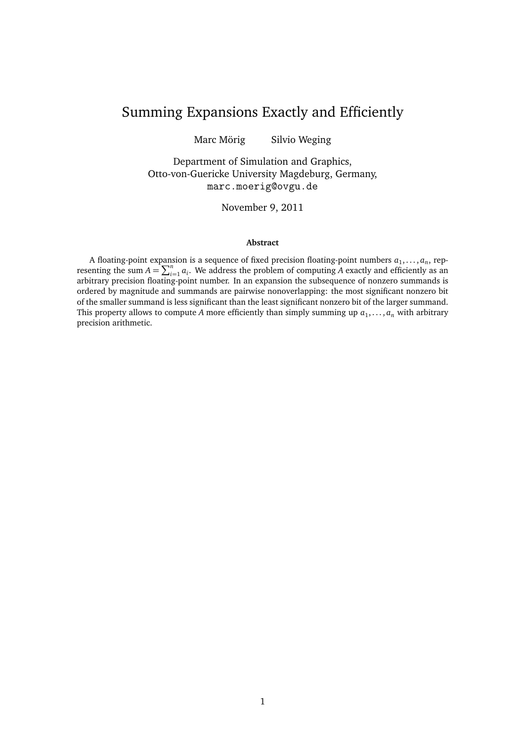# Summing Expansions Exactly and Efficiently

Marc Mörig Silvio Weging

Department of Simulation and Graphics, Otto-von-Guericke University Magdeburg, Germany, marc.moerig@ovgu.de

November 9, 2011

#### **Abstract**

A floating-point expansion is a sequence of fixed precision floating-point numbers  $a_1, \ldots, a_n$ , representing the sum  $A = \sum_{i=1}^{n} a_i$ . We address the problem of computing *A* exactly and efficiently as an arbitrary precision floating-point number. In an expansion the subsequence of nonzero summands is ordered by magnitude and summands are pairwise nonoverlapping: the most significant nonzero bit of the smaller summand is less significant than the least significant nonzero bit of the larger summand. This property allows to compute A more efficiently than simply summing up  $a_1, \ldots, a_n$  with arbitrary precision arithmetic.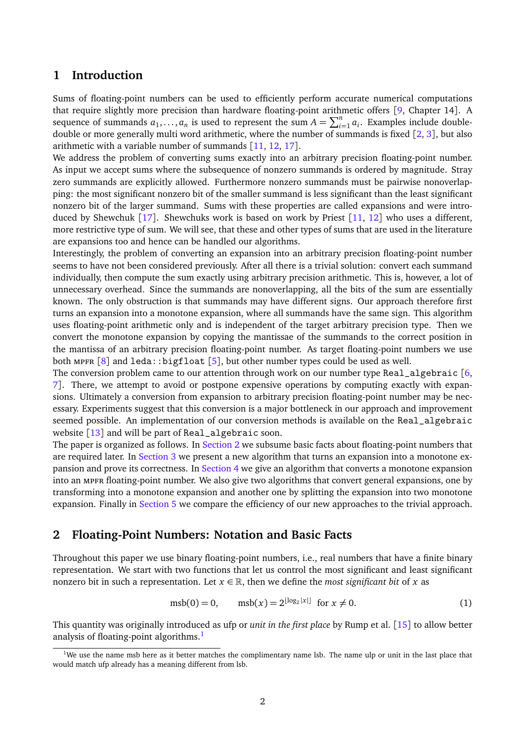## **1 Introduction**

Sums of floating-point numbers can be used to efficiently perform accurate numerical computations that require slightly more precision than hardware floating-point arithmetic offers [[9,](#page-30-0) Chapter 14]. A sequence of summands  $a_1, \ldots, a_n$  is used to represent the sum  $A = \sum_{i=1}^n a_i$ . Examples include doubledouble or more generally multi word arithmetic, where the number of summands is fixed [[2,](#page-29-0) [3](#page-29-1)], but also arithmetic with a variable number of summands [[11,](#page-30-1) [12,](#page-30-2) [17](#page-30-3)].

We address the problem of converting sums exactly into an arbitrary precision floating-point number. As input we accept sums where the subsequence of nonzero summands is ordered by magnitude. Stray zero summands are explicitly allowed. Furthermore nonzero summands must be pairwise nonoverlapping: the most significant nonzero bit of the smaller summand is less significant than the least significant nonzero bit of the larger summand. Sums with these properties are called expansions and were intro-duced by Shewchuk [[17](#page-30-3)]. Shewchuks work is based on work by Priest [[11,](#page-30-1) [12](#page-30-2)] who uses a different, more restrictive type of sum. We will see, that these and other types of sums that are used in the literature are expansions too and hence can be handled our algorithms.

Interestingly, the problem of converting an expansion into an arbitrary precision floating-point number seems to have not been considered previously. After all there is a trivial solution: convert each summand individually, then compute the sum exactly using arbitrary precision arithmetic. This is, however, a lot of unnecessary overhead. Since the summands are nonoverlapping, all the bits of the sum are essentially known. The only obstruction is that summands may have different signs. Our approach therefore first turns an expansion into a monotone expansion, where all summands have the same sign. This algorithm uses floating-point arithmetic only and is independent of the target arbitrary precision type. Then we convert the monotone expansion by copying the mantissae of the summands to the correct position in the mantissa of an arbitrary precision floating-point number. As target floating-point numbers we use both MPFR  $[8]$  $[8]$  $[8]$  and leda::bigfloat  $[5]$  $[5]$  $[5]$ , but other number types could be used as well.

The conversion problem came to our attention through work on our number type Real\_algebraic  $[6, 1]$  $[6, 1]$  $[6, 1]$ [7](#page-29-5)]. There, we attempt to avoid or postpone expensive operations by computing exactly with expansions. Ultimately a conversion from expansion to arbitrary precision floating-point number may be necessary. Experiments suggest that this conversion is a major bottleneck in our approach and improvement seemed possible. An implementation of our conversion methods is available on the Real\_algebraic website [[13](#page-30-4)] and will be part of Real\_algebraic soon.

The paper is organized as follows. In [Section 2](#page-5-0) we subsume basic facts about floating-point numbers that are required later. In [Section 3](#page-13-0) we present a new algorithm that turns an expansion into a monotone expansion and prove its correctness. In [Section 4](#page-20-0) we give an algorithm that converts a monotone expansion into an mpfr floating-point number. We also give two algorithms that convert general expansions, one by transforming into a monotone expansion and another one by splitting the expansion into two monotone expansion. Finally in [Section 5](#page-27-0) we compare the efficiency of our new approaches to the trivial approach.

### <span id="page-5-0"></span>**2 Floating-Point Numbers: Notation and Basic Facts**

Throughout this paper we use binary floating-point numbers, i.e., real numbers that have a finite binary representation. We start with two functions that let us control the most significant and least significant nonzero bit in such a representation. Let  $x \in \mathbb{R}$ , then we define the *most significant bit* of *x* as

$$
msb(0) = 0, \qquad msb(x) = 2^{\lfloor \log_2 |x| \rfloor} \text{ for } x \neq 0. \tag{1}
$$

This quantity was originally introduced as ufp or *unit in the first place* by Rump et al. [[15](#page-30-5)] to allow better analysis of floating-point algorithms.<sup>[1](#page-5-1)</sup>

<span id="page-5-1"></span><sup>&</sup>lt;sup>1</sup>We use the name msb here as it better matches the complimentary name lsb. The name ulp or unit in the last place that would match ufp already has a meaning different from lsb.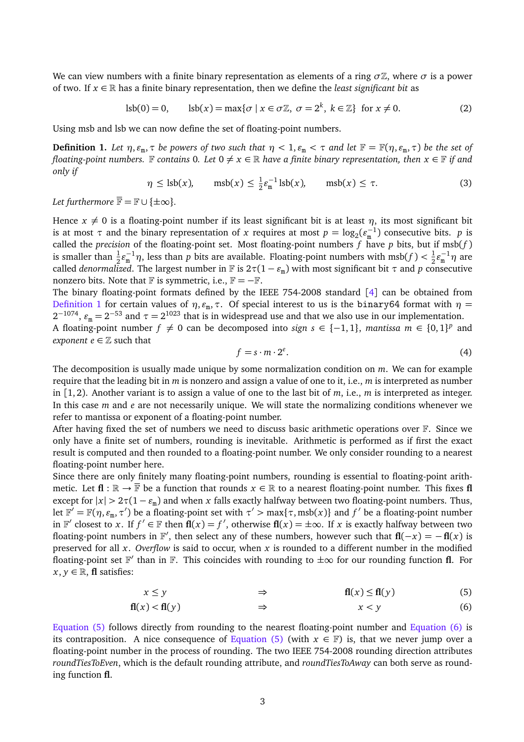We can view numbers with a finite binary representation as elements of a ring  $\sigma\mathbb{Z}$ , where  $\sigma$  is a power of two. If  $x \in \mathbb{R}$  has a finite binary representation, then we define the *least significant bit* as

$$
lsb(0) = 0, \qquad \text{lsb}(x) = \max\{\sigma \mid x \in \sigma \mathbb{Z}, \ \sigma = 2^k, \ k \in \mathbb{Z}\} \ \text{ for } x \neq 0. \tag{2}
$$

Using msb and lsb we can now define the set of floating-point numbers.

<span id="page-6-0"></span>**Definition 1.** Let  $\eta$ ,  $\varepsilon_{\rm m}$ ,  $\tau$  be powers of two such that  $\eta < 1$ ,  $\varepsilon_{\rm m} < \tau$  and let  $\mathbb{F} = \mathbb{F}(\eta, \varepsilon_{\rm m}, \tau)$  be the set of *floating-point numbers.* F contains 0. Let  $0 \neq x \in \mathbb{R}$  *have a finite binary representation, then*  $x \in \mathbb{F}$  *if and only if*

$$
\eta \le \text{lsb}(x), \qquad \text{msb}(x) \le \frac{1}{2} \varepsilon_{\text{m}}^{-1} \text{lsb}(x), \qquad \text{msb}(x) \le \tau. \tag{3}
$$

*Let furthermore*  $\overline{\mathbb{F}} = \mathbb{F} \cup \{\pm \infty\}.$ 

Hence  $x \neq 0$  is a floating-point number if its least significant bit is at least  $\eta$ , its most significant bit is at most  $\tau$  and the binary representation of *x* requires at most  $p = \log_2(\epsilon_m^{-1})$  consecutive bits. *p* is called the *precision* of the floating-point set. Most floating-point numbers *f* have *p* bits, but if msb(*f* ) is smaller than  $\frac{1}{2} \varepsilon_m^{-1} \eta$ , less than *p* bits are available. Floating-point numbers with msb(*f*) <  $\frac{1}{2}$  $\frac{1}{2}\varepsilon_{\tt m}^{-1}\eta$  are called *denormalized*. The largest number in  $\mathbb F$  is  $2\tau(1-\varepsilon_m)$  with most significant bit  $\tau$  and  $p$  consecutive nonzero bits. Note that  $\mathbb F$  is symmetric, i.e.,  $\mathbb F = -\mathbb F$ .

The binary floating-point formats defined by the IEEE 754-2008 standard [[4](#page-29-6)] can be obtained from [Definition 1](#page-6-0) for certain values of *η*,  $\varepsilon_{m}$ ,  $\tau$ . Of special interest to us is the binary64 format with  $η$  =  $2^{-1074}$ ,  $\varepsilon_{\rm m} = 2^{-53}$  and  $\tau = 2^{1023}$  that is in widespread use and that we also use in our implementation. A floating-point number  $f \neq 0$  can be decomposed into *sign*  $s \in \{-1, 1\}$ , *mantissa*  $m \in \{0, 1\}^p$  and *exponent*  $e \in \mathbb{Z}$  such that

<span id="page-6-1"></span>
$$
f = s \cdot m \cdot 2^e. \tag{4}
$$

The decomposition is usually made unique by some normalization condition on *m*. We can for example require that the leading bit in *m* is nonzero and assign a value of one to it, i.e., *m* is interpreted as number in  $[1, 2)$ . Another variant is to assign a value of one to the last bit of *m*, i.e., *m* is interpreted as integer. In this case *m* and *e* are not necessarily unique. We will state the normalizing conditions whenever we refer to mantissa or exponent of a floating-point number.

After having fixed the set of numbers we need to discuss basic arithmetic operations over F. Since we only have a finite set of numbers, rounding is inevitable. Arithmetic is performed as if first the exact result is computed and then rounded to a floating-point number. We only consider rounding to a nearest floating-point number here.

Since there are only finitely many floating-point numbers, rounding is essential to floating-point arithmetic. Let  $f{I}: \mathbb{R} \to \overline{\mathbb{F}}$  be a function that rounds  $x \in \mathbb{R}$  to a nearest floating-point number. This fixes  $f{I}$ except for  $|x| > 2\tau(1 - \varepsilon_m)$  and when *x* falls exactly halfway between two floating-point numbers. Thus, let  $\mathbb{F}' = \mathbb{F}(\eta, \varepsilon_m, \tau')$  be a floating-point set with  $\tau' > \max\{\tau, \text{msb}(x)\}\$  and  $f'$  be a floating-point number in  $\mathbb{F}'$  closest to *x*. If  $f' \in \mathbb{F}$  then  $\mathbf{f}l(x) = f'$ , otherwise  $\mathbf{f}l(x) = \pm \infty$ . If *x* is exactly halfway between two floating-point numbers in  $\mathbb{F}'$ , then select any of these numbers, however such that  $\mathbf{f}(-x) = -\mathbf{f}(x)$  is preserved for all *x*. *Overflow* is said to occur, when *x* is rounded to a different number in the modified floating-point set  $\mathbb{F}'$  than in  $\mathbb{F}$ . This coincides with rounding to  $\pm\infty$  for our rounding function **fl**. For  $x, y \in \mathbb{R}$ , **fl** satisfies:

<span id="page-6-2"></span>
$$
x \le y \qquad \Rightarrow \qquad \mathbf{f}(\mathbf{f}(x)) \le \mathbf{f}(\mathbf{f}(y) \tag{5}
$$

$$
\mathbf{fl}(x) < \mathbf{fl}(y) \qquad \qquad \Rightarrow \qquad \qquad x < y \tag{6}
$$

[Equation \(5\)](#page-6-1) follows directly from rounding to the nearest floating-point number and [Equation \(6\)](#page-6-2) is its contraposition. A nice consequence of [Equation \(5\)](#page-6-1) (with  $x \in \mathbb{F}$ ) is, that we never jump over a floating-point number in the process of rounding. The two IEEE 754-2008 rounding direction attributes *roundTiesToEven*, which is the default rounding attribute, and *roundTiesToAway* can both serve as rounding function **fl**.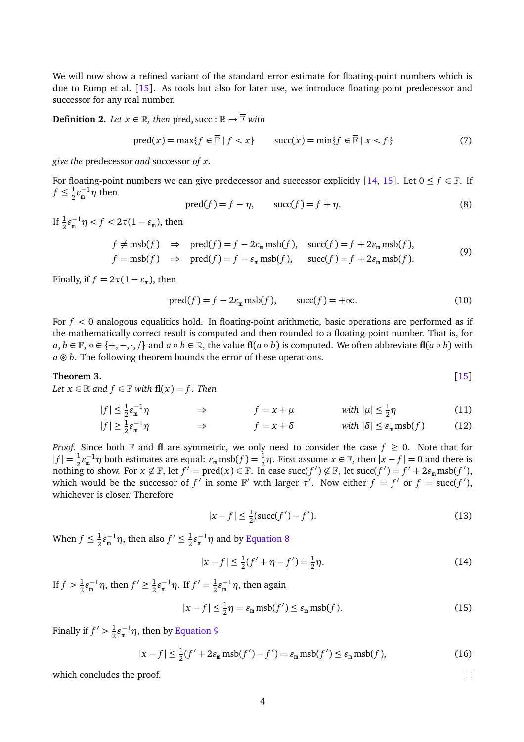We will now show a refined variant of the standard error estimate for floating-point numbers which is due to Rump et al. [[15](#page-30-5)]. As tools but also for later use, we introduce floating-point predecessor and successor for any real number.

**Definition 2.** *Let*  $x \in \mathbb{R}$ *, then* pred, succ :  $\mathbb{R} \to \overline{\mathbb{F}}$  *with* 

$$
\text{pred}(x) = \max\{f \in \overline{\mathbb{F}} \mid f < x\} \qquad \text{succ}(x) = \min\{f \in \overline{\mathbb{F}} \mid x < f\} \tag{7}
$$

*give the* predecessor *and* successor *of x.*

For floating-point numbers we can give predecessor and successor explicitly [[14,](#page-30-6) [15](#page-30-5)]. Let  $0 \le f \in \mathbb{F}$ . If  $f \leq \frac{1}{2}$  $\frac{1}{2} \varepsilon_{\rm m}^{-1} \eta$  then

<span id="page-7-0"></span>
$$
pred(f) = f - \eta, \qquad succ(f) = f + \eta. \tag{8}
$$

If  $\frac{1}{2} \varepsilon_{\rm m}^{-1} \eta < f < 2\tau (1 - \varepsilon_{\rm m})$ , then

<span id="page-7-1"></span>
$$
f \neq \text{msb}(f) \Rightarrow \text{pred}(f) = f - 2\varepsilon_{\text{m}} \text{msb}(f), \quad \text{succ}(f) = f + 2\varepsilon_{\text{m}} \text{msb}(f),
$$
  
\n $f = \text{msb}(f) \Rightarrow \text{pred}(f) = f - \varepsilon_{\text{m}} \text{msb}(f), \quad \text{succ}(f) = f + 2\varepsilon_{\text{m}} \text{msb}(f).$  (9)

Finally, if  $f = 2\tau(1 - \varepsilon_{\rm m})$ , then

$$
\text{pred}(f) = f - 2\varepsilon_{\text{m}} \text{msb}(f), \qquad \text{succ}(f) = +\infty. \tag{10}
$$

For *f <* 0 analogous equalities hold. In floating-point arithmetic, basic operations are performed as if the mathematically correct result is computed and then rounded to a floating-point number. That is, for *a*, *b* ∈ F, ∘ ∈ {+, −, ·, /} and *a* ◦ *b* ∈ ℝ, the value **fl**(*a* ◦ *b*) is computed. We often abbreviate **fl**(*a* ◦ *b*) with  $a \odot b$ . The following theorem bounds the error of these operations.

### <span id="page-7-2"></span>**Theorem 3.** [[15](#page-30-5)]

*Let*  $x \in \mathbb{R}$  *and*  $f \in \mathbb{F}$  *with*  $f(x) = f$ *. Then* 

$$
|f| \le \frac{1}{2} \varepsilon_{m}^{-1} \eta \qquad \qquad \Rightarrow \qquad f = x + \mu \qquad \qquad \text{with } |\mu| \le \frac{1}{2} \eta \tag{11}
$$

$$
|f| \geq \frac{1}{2} \varepsilon_{\mathfrak{m}}^{-1} \eta \qquad \Rightarrow \qquad f = x + \delta \qquad \text{with } |\delta| \leq \varepsilon_{\mathfrak{m}} \operatorname{msb}(f) \qquad (12)
$$

*Proof.* Since both  $\mathbb F$  and **fl** are symmetric, we only need to consider the case  $f \ge 0$ . Note that for  $|f| = \frac{1}{2}$  $\frac{1}{2}\varepsilon_{m}^{-1}\eta$  both estimates are equal:  $\varepsilon_{m}$  msb( $f$ ) =  $\frac{1}{2}\eta$ . First assume  $x \in \mathbb{F}$ , then  $|x - f| = 0$  and there is nothing to show. For  $x \notin \mathbb{F}$ , let  $f' = \text{pred}(x) \in \mathbb{F}$ . In case  $\text{succ}(f') \notin \mathbb{F}$ , let  $\text{succ}(f') = f' + 2\varepsilon_{\text{m}} \text{msb}(f')$ , which would be the successor of  $f'$  in some  $\mathbb{F}'$  with larger  $\tau'$ . Now either  $f = f'$  or  $f = \text{succ}(f')$ , whichever is closer. Therefore

$$
|x - f| \le \frac{1}{2}(\text{succ}(f') - f'). \tag{13}
$$

When  $f \leq \frac{1}{2}$  $\frac{1}{2}\varepsilon_{\rm m}^{-1}\eta$ , then also  $f' \leq \frac{1}{2}$  $\frac{1}{2} \varepsilon_{\rm m}^{-1} \eta$  and by [Equation 8](#page-7-0)

$$
|x - f| \le \frac{1}{2}(f' + \eta - f') = \frac{1}{2}\eta.
$$
 (14)

If  $f > \frac{1}{2}$  $\frac{1}{2}\varepsilon_{\rm m}^{-1}\eta$ , then  $f' \ge \frac{1}{2}$  $\frac{1}{2}\varepsilon_{\rm m}^{-1}\eta$ . If  $f' = \frac{1}{2}$  $\frac{1}{2} \varepsilon_{\rm m}^{-1} \eta$ , then again

$$
|x - f| \le \frac{1}{2}\eta = \varepsilon_{\text{m}} \operatorname{msb}(f') \le \varepsilon_{\text{m}} \operatorname{msb}(f). \tag{15}
$$

 $\Box$ 

Finally if  $f' > \frac{1}{2}$  $\frac{1}{2}$ ε<sup>-1</sup>η, then by [Equation 9](#page-7-1)

$$
|x - f| \le \frac{1}{2}(f' + 2\varepsilon_m \operatorname{msb}(f') - f') = \varepsilon_m \operatorname{msb}(f') \le \varepsilon_m \operatorname{msb}(f),\tag{16}
$$

which concludes the proof.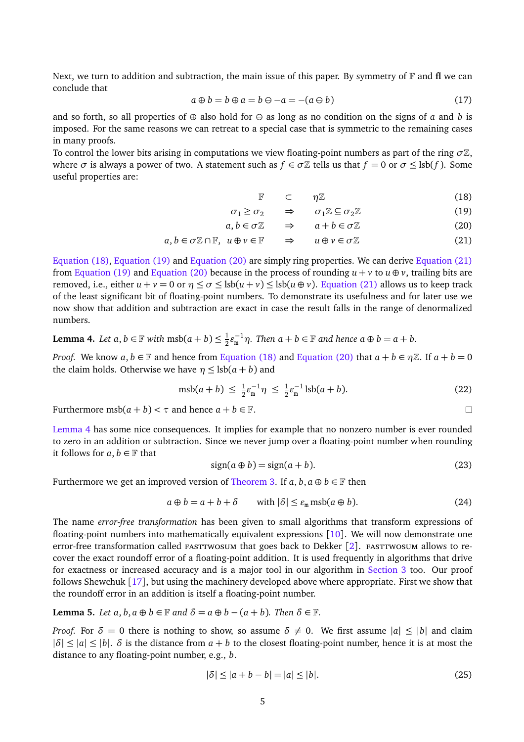Next, we turn to addition and subtraction, the main issue of this paper. By symmetry of  $\mathbb F$  and **fl** we can conclude that

$$
a \oplus b = b \oplus a = b \ominus -a = -(a \ominus b)
$$
 (17)

and so forth, so all properties of  $\oplus$  also hold for  $\ominus$  as long as no condition on the signs of *a* and *b* is imposed. For the same reasons we can retreat to a special case that is symmetric to the remaining cases in many proofs.

To control the lower bits arising in computations we view floating-point numbers as part of the ring  $\sigma\mathbb{Z}$ , where  $\sigma$  is always a power of two. A statement such as  $f \in \sigma \mathbb{Z}$  tells us that  $f = 0$  or  $\sigma \leq \text{lsb}(f)$ . Some useful properties are:

<span id="page-8-1"></span><span id="page-8-0"></span>
$$
\mathbb{F} \quad \subset \quad \eta \mathbb{Z} \tag{18}
$$

$$
\sigma_1 \ge \sigma_2 \qquad \Rightarrow \qquad \sigma_1 \mathbb{Z} \subseteq \sigma_2 \mathbb{Z} \tag{19}
$$

$$
a, b \in \sigma \mathbb{Z} \qquad \Rightarrow \qquad a + b \in \sigma \mathbb{Z} \tag{20}
$$

$$
a, b \in \sigma \mathbb{Z} \cap \mathbb{F}, \ u \oplus v \in \mathbb{F} \qquad \Rightarrow \qquad u \oplus v \in \sigma \mathbb{Z} \tag{21}
$$

[Equation \(18\),](#page-8-0) [Equation \(19\)](#page-8-1) and [Equation \(20\)](#page-8-2) are simply ring properties. We can derive [Equation \(21\)](#page-8-3) from [Equation \(19\)](#page-8-1) and [Equation \(20\)](#page-8-2) because in the process of rounding  $u + v$  to  $u \oplus v$ , trailing bits are removed, i.e., either  $u + v = 0$  or  $\eta \le \sigma \le \text{lsb}(u + v) \le \text{lsb}(u + v)$ . [Equation \(21\)](#page-8-3) allows us to keep track of the least significant bit of floating-point numbers. To demonstrate its usefulness and for later use we now show that addition and subtraction are exact in case the result falls in the range of denormalized numbers.

<span id="page-8-4"></span>**Lemma 4.** Let 
$$
a, b \in \mathbb{F}
$$
 with  $msb(a + b) \leq \frac{1}{2} \varepsilon_m^{-1} \eta$ . Then  $a + b \in \mathbb{F}$  and hence  $a \oplus b = a + b$ .

*Proof.* We know  $a, b \in \mathbb{F}$  and hence from [Equation \(18\)](#page-8-0) and [Equation \(20\)](#page-8-2) that  $a + b \in \eta \mathbb{Z}$ . If  $a + b = 0$ the claim holds. Otherwise we have  $\eta \leq \text{lsb}(a + b)$  and

$$
msb(a+b) \le \frac{1}{2} \varepsilon_m^{-1} \eta \le \frac{1}{2} \varepsilon_m^{-1} \text{lsb}(a+b). \tag{22}
$$

Furthermore msb( $a + b$ ) <  $\tau$  and hence  $a + b \in \mathbb{F}$ .

[Lemma 4](#page-8-4) has some nice consequences. It implies for example that no nonzero number is ever rounded to zero in an addition or subtraction. Since we never jump over a floating-point number when rounding it follows for  $a, b \in \mathbb{F}$  that

<span id="page-8-7"></span>
$$
sign(a \oplus b) = sign(a + b). \tag{23}
$$

Furthermore we get an improved version of [Theorem 3.](#page-7-2) If  $a, b, a \oplus b \in \mathbb{F}$  then

<span id="page-8-6"></span>
$$
a \oplus b = a + b + \delta \qquad \text{with } |\delta| \le \varepsilon_{\mathfrak{m}} \operatorname{msb}(a \oplus b). \tag{24}
$$

The name *error-free transformation* has been given to small algorithms that transform expressions of floating-point numbers into mathematically equivalent expressions [[10](#page-30-7)]. We will now demonstrate one error-free transformation called FASTTWOSUM that goes back to Dekker  $[2]$  $[2]$  $[2]$ . FASTTWOSUM allows to recover the exact roundoff error of a floating-point addition. It is used frequently in algorithms that drive for exactness or increased accuracy and is a major tool in our algorithm in [Section 3](#page-13-0) too. Our proof follows Shewchuk [[17](#page-30-3)], but using the machinery developed above where appropriate. First we show that the roundoff error in an addition is itself a floating-point number.

<span id="page-8-5"></span>**Lemma 5.** Let 
$$
a, b, a \oplus b \in \mathbb{F}
$$
 and  $\delta = a \oplus b - (a + b)$ . Then  $\delta \in \mathbb{F}$ .

*Proof.* For  $\delta = 0$  there is nothing to show, so assume  $\delta \neq 0$ . We first assume  $|a| \leq |b|$  and claim  $|\delta| \leq |a| \leq |b|$ .  $\delta$  is the distance from  $a + b$  to the closest floating-point number, hence it is at most the distance to any floating-point number, e.g., *b*.

$$
|\delta| \le |a + b - b| = |a| \le |b|.
$$
 (25)

<span id="page-8-3"></span><span id="page-8-2"></span> $\Box$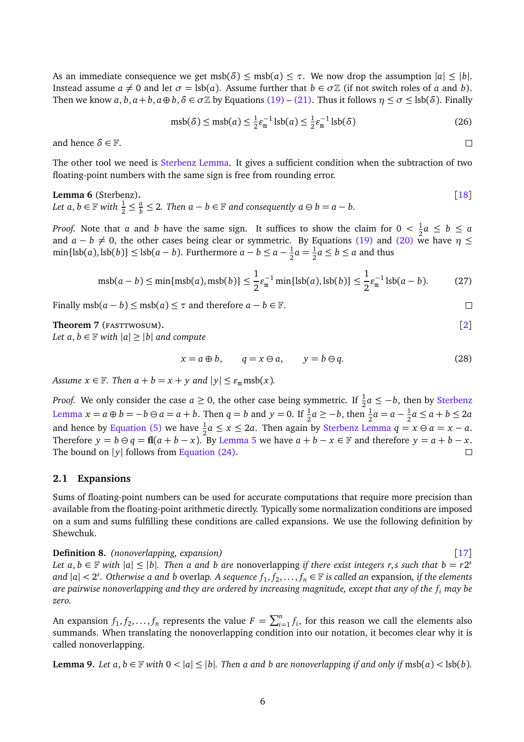As an immediate consequence we get msb( $\delta$ )  $\leq$  msb( $a$ )  $\leq \tau$ . We now drop the assumption  $|a| \leq |b|$ . Instead assume  $a \neq 0$  and let  $\sigma = \text{lsb}(a)$ . Assume further that  $b \in \sigma \mathbb{Z}$  (if not switch roles of *a* and *b*). Then we know  $a, b, a + b, a \oplus b, \delta \in \sigma \mathbb{Z}$  by Equations [\(19\)](#page-8-1) – [\(21\).](#page-8-3) Thus it follows  $\eta \leq \sigma \leq \text{lsb}(\delta)$ . Finally

$$
\mathrm{msb}(\delta) \le \mathrm{msb}(a) \le \frac{1}{2} \varepsilon_{\mathrm{m}}^{-1} \, \mathrm{lsb}(a) \le \frac{1}{2} \varepsilon_{\mathrm{m}}^{-1} \, \mathrm{lsb}(\delta) \tag{26}
$$

and hence  $\delta \in \mathbb{F}$ .

The other tool we need is [Sterbenz Lemma.](#page-9-0) It gives a sufficient condition when the subtraction of two floating-point numbers with the same sign is free from rounding error.

<span id="page-9-0"></span>

**Lemma 6** (Sterbenz)**.** [[18](#page-30-8)] Let  $a, b \in \mathbb{F}$  with  $\frac{1}{2} \leq \frac{a}{b}$  $\frac{a}{b}$  ≤ 2*.* Then  $a - b \in \mathbb{F}$  and consequently  $a \ominus b = a - b$ .

*Proof.* Note that *a* and *b* have the same sign. It suffices to show the claim for  $0 < \frac{1}{2}$  $\frac{1}{2}a \leq b \leq a$ and  $a - b \neq 0$ , the other cases being clear or symmetric. By Equations [\(19\)](#page-8-1) and [\(20\)](#page-8-2) we have  $\eta \leq$  $\min\{\text{lsb}(a),\text{lsb}(b)\}\leq \text{lsb}(a-b)$ . Furthermore  $a-b\leq a-\frac{1}{2}$  $\frac{1}{2}a = \frac{1}{2}$  $\frac{1}{2}a \leq b \leq a$  and thus

$$
msb(a-b) \le \min\{msb(a),msb(b)\} \le \frac{1}{2}\varepsilon_m^{-1} \min\{lsb(a),lsb(b)\} \le \frac{1}{2}\varepsilon_m^{-1}lsb(a-b). \tag{27}
$$

Finally msb( $a - b$ )  $\leq$  msb( $a$ )  $\leq \tau$  and therefore  $a - b \in \mathbb{F}$ .

<span id="page-9-2"></span>**Theorem 7** (FASTTWOSUM). [[2](#page-29-0)]

*Let a, b*  $\in \mathbb{F}$  *with*  $|a| \ge |b|$  *and compute* 

$$
x = a \oplus b, \qquad q = x \ominus a, \qquad y = b \ominus q. \tag{28}
$$

*Assume*  $x \in \mathbb{F}$ *. Then*  $a + b = x + y$  and  $|y| \le \varepsilon_m \text{msb}(x)$ *.* 

*Proof.* We only consider the case  $a \ge 0$ , the other case being symmetric. If  $\frac{1}{2}a \le -b$ , then by [Sterbenz](#page-9-0) [Lemma](#page-9-0) *x* = *a* ⊕ *b* = −*b* ⊖ *a* = *a* + *b*. Then *q* = *b* and *y* = 0. If  $\frac{1}{2}$ *a* ≥ −*b*, then  $\frac{1}{2}$ *a* = *a* −  $\frac{1}{2}$  $\frac{1}{2}a \leq a + b \leq 2a$ and hence by [Equation \(5\)](#page-6-1) we have  $\frac{1}{2}a \le x \le 2a$ . Then again by [Sterbenz Lemma](#page-9-0)  $q = x \ominus a = x - a$ . Therefore *y* = *b*  $\ominus$  *q* = **fl**(*a* + *b* − *x*). By [Lemma 5](#page-8-5) we have *a* + *b* − *x* ∈ F and therefore *y* = *a* + *b* − *x*. The bound on |*v*| follows from Equation (24). The bound on  $|y|$  follows from [Equation \(24\).](#page-8-6)

### **2.1 Expansions**

Sums of floating-point numbers can be used for accurate computations that require more precision than available from the floating-point arithmetic directly. Typically some normalization conditions are imposed on a sum and sums fulfilling these conditions are called expansions. We use the following definition by Shewchuk.

**Definition 8.** *(nonoverlapping, expansion)* [[17](#page-30-3)]

*Let*  $a, b \in \mathbb{F}$  with  $|a| \leq |b|$ . Then a and b are nonoverlapping if there exist integers r,s such that  $b = r2^s$ and  $|a| < 2<sup>s</sup>$ . Otherwise a and b overlap. A sequence  $f_1, f_2, \ldots, f_n \in \mathbb{F}$  is called an expansion, if the elements *are pairwise nonoverlapping and they are ordered by increasing magnitude, except that any of the f<sup>i</sup> may be zero.*

An expansion  $f_1, f_2, \ldots, f_n$  represents the value  $F = \sum_{i=1}^n f_i$ , for this reason we call the elements also summands. When translating the nonoverlapping condition into our notation, it becomes clear why it is called nonoverlapping.

<span id="page-9-1"></span>**Lemma 9.** Let  $a, b \in \mathbb{F}$  with  $0 < |a| \leq |b|$ . Then a and b are nonoverlapping if and only if  $msb(a) < lsb(b)$ .

 $\Box$ 

 $\Box$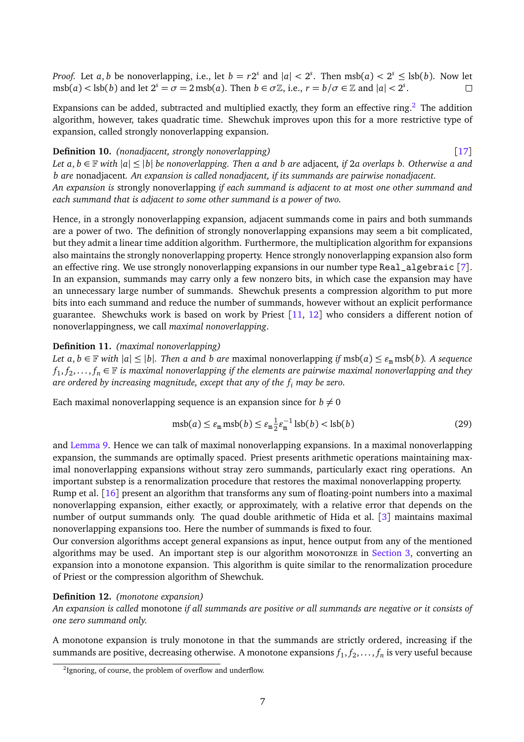*Proof.* Let *a*, *b* be nonoverlapping, i.e., let  $b = r2^s$  and  $|a| < 2^s$ . Then  $msb(a) < 2^s \leq lsb(b)$ . Now let  $msb(a) < lsb(b)$  and let  $2^s = \sigma = 2 \text{ msb}(a)$ . Then  $b \in \sigma \mathbb{Z}$ , i.e.,  $r = b/\sigma \in \mathbb{Z}$  and  $|a| < 2^s$ .

Expansions can be added, subtracted and multiplied exactly, they form an effective ring.<sup>[2](#page-10-0)</sup> The addition algorithm, however, takes quadratic time. Shewchuk improves upon this for a more restrictive type of expansion, called strongly nonoverlapping expansion.

### **Definition 10.** *(nonadjacent, strongly nonoverlapping)* [[17](#page-30-3)] *Let*  $a, b \in \mathbb{F}$  *with*  $|a| \leq |b|$  *be nonoverlapping. Then a and b are adjacent, if* 2*a overlaps b. Otherwise a and*

*b are* nonadjacent*. An expansion is called nonadjacent, if its summands are pairwise nonadjacent. An expansion is* strongly nonoverlapping *if each summand is adjacent to at most one other summand and each summand that is adjacent to some other summand is a power of two.*

Hence, in a strongly nonoverlapping expansion, adjacent summands come in pairs and both summands are a power of two. The definition of strongly nonoverlapping expansions may seem a bit complicated, but they admit a linear time addition algorithm. Furthermore, the multiplication algorithm for expansions also maintains the strongly nonoverlapping property. Hence strongly nonoverlapping expansion also form an effective ring. We use strongly nonoverlapping expansions in our number type Real\_algebraic [[7](#page-29-5)]. In an expansion, summands may carry only a few nonzero bits, in which case the expansion may have an unnecessary large number of summands. Shewchuk presents a compression algorithm to put more bits into each summand and reduce the number of summands, however without an explicit performance guarantee. Shewchuks work is based on work by Priest  $\lceil 11, 12 \rceil$  $\lceil 11, 12 \rceil$  $\lceil 11, 12 \rceil$  $\lceil 11, 12 \rceil$  $\lceil 11, 12 \rceil$  who considers a different notion of nonoverlappingness, we call *maximal nonoverlapping*.

### **Definition 11.** *(maximal nonoverlapping)*

*Let*  $a, b \in \mathbb{F}$  *with*  $|a| \leq |b|$ *. Then a and b are* maximal nonoverlapping *if* msb( $a$ )  $\leq \varepsilon_m$  msb( $b$ )*. A sequence*  $f_1, f_2, \ldots, f_n \in \mathbb{F}$  is maximal nonoverlapping if the elements are pairwise maximal nonoverlapping and they *are ordered by increasing magnitude, except that any of the f<sup>i</sup> may be zero.*

Each maximal nonoverlapping sequence is an expansion since for  $b \neq 0$ 

$$
msb(a) \le \varepsilon_m msb(b) \le \varepsilon_m \frac{1}{2} \varepsilon_m^{-1} \operatorname{lsb}(b) < \operatorname{lsb}(b) \tag{29}
$$

and [Lemma 9.](#page-9-1) Hence we can talk of maximal nonoverlapping expansions. In a maximal nonoverlapping expansion, the summands are optimally spaced. Priest presents arithmetic operations maintaining maximal nonoverlapping expansions without stray zero summands, particularly exact ring operations. An important substep is a renormalization procedure that restores the maximal nonoverlapping property.

Rump et al. [[16](#page-30-9)] present an algorithm that transforms any sum of floating-point numbers into a maximal nonoverlapping expansion, either exactly, or approximately, with a relative error that depends on the number of output summands only. The quad double arithmetic of Hida et al. [[3](#page-29-1)] maintains maximal nonoverlapping expansions too. Here the number of summands is fixed to four.

Our conversion algorithms accept general expansions as input, hence output from any of the mentioned algorithms may be used. An important step is our algorithm MONOTONIZE in [Section 3,](#page-13-0) converting an expansion into a monotone expansion. This algorithm is quite similar to the renormalization procedure of Priest or the compression algorithm of Shewchuk.

#### **Definition 12.** *(monotone expansion)*

*An expansion is called* monotone *if all summands are positive or all summands are negative or it consists of one zero summand only.*

A monotone expansion is truly monotone in that the summands are strictly ordered, increasing if the summands are positive, decreasing otherwise. A monotone expansions  $f_1, f_2, \ldots, f_n$  is very useful because

<span id="page-10-0"></span> $2$ Ignoring, of course, the problem of overflow and underflow.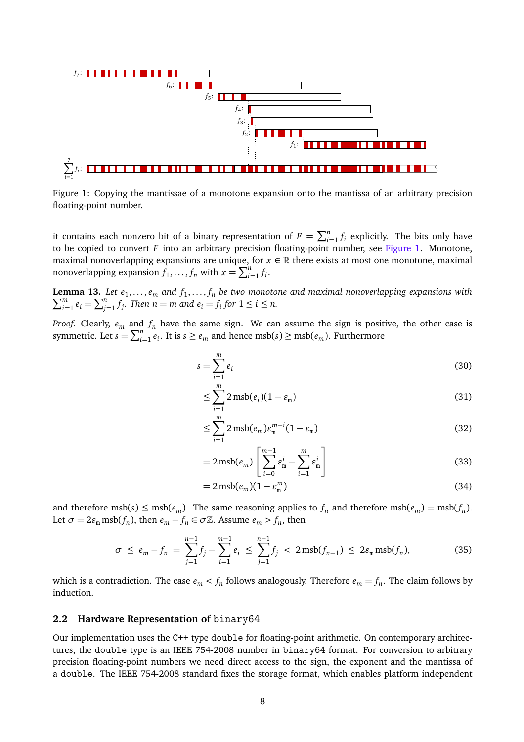<span id="page-11-0"></span>

Figure 1: Copying the mantissae of a monotone expansion onto the mantissa of an arbitrary precision floating-point number.

it contains each nonzero bit of a binary representation of  $F = \sum_{i=1}^{n} f_i$  explicitly. The bits only have to be copied to convert *F* into an arbitrary precision floating-point number, see [Figure 1.](#page-11-0) Monotone, maximal nonoverlapping expansions are unique, for  $x \in \mathbb{R}$  there exists at most one monotone, maximal nonoverlapping expansion  $f_1, \ldots, f_n$  with  $x = \sum_{i=1}^n f_i$ .

**Lemma 13.** *Let*  $e_1, \ldots, e_m$  and  $f_1, \ldots, f_n$  be two monotone and maximal nonoverlapping expansions with  $\sum_{i=1}^{m} e_i = \sum_{i=1}^{n} f_i$ . Then  $n = m$  and  $e_i = f_i$  for  $1 \le i \le n$ . *m*  $\sum_{i=1}^{m} e_i = \sum_{j=1}^{n} f_j$ . Then  $n = m$  and  $e_i = f_i$  for  $1 \le i \le n$ .

*Proof.* Clearly,  $e_m$  and  $f_n$  have the same sign. We can assume the sign is positive, the other case is symmetric. Let  $s = \sum_{i=1}^{n} e_i$ . It is  $s \ge e_m$  and hence msb( $s$ )  $\ge \text{msb}(e_m)$ . Furthermore

$$
s = \sum_{i=1}^{m} e_i \tag{30}
$$

$$
\leq \sum_{i=1}^{m} 2 \operatorname{msb}(e_i)(1 - \varepsilon_{\mathfrak{m}}) \tag{31}
$$

$$
\leq \sum_{i=1}^{m} 2 \operatorname{msb}(e_m) \varepsilon_{\mathbf{m}}^{m-i} (1 - \varepsilon_{\mathbf{m}}) \tag{32}
$$

$$
=2\,\text{msb}(e_m)\left[\sum_{i=0}^{m-1}\varepsilon_{\mathbf{m}}^i-\sum_{i=1}^m\varepsilon_{\mathbf{m}}^i\right]
$$
\n(33)

$$
=2\,\text{msb}(e_m)(1-e_m^m) \tag{34}
$$

and therefore  $msb(s) \leq msb(e_m)$ . The same reasoning applies to  $f_n$  and therefore  $msb(e_m) = msb(f_n)$ . Let  $\sigma = 2\varepsilon_m \text{msb}(f_n)$ , then  $e_m - f_n \in \sigma \mathbb{Z}$ . Assume  $e_m > f_n$ , then

$$
\sigma \le e_m - f_n = \sum_{j=1}^{n-1} f_j - \sum_{i=1}^{m-1} e_i \le \sum_{j=1}^{n-1} f_j < 2 \operatorname{msb}(f_{n-1}) \le 2\varepsilon_m \operatorname{msb}(f_n), \tag{35}
$$

which is a contradiction. The case  $e_m < f_n$  follows analogously. Therefore  $e_m = f_n$ . The claim follows by induction.  $\Box$ 

#### <span id="page-11-1"></span>**2.2 Hardware Representation of** binary64

Our implementation uses the C++ type double for floating-point arithmetic. On contemporary architectures, the double type is an IEEE 754-2008 number in binary64 format. For conversion to arbitrary precision floating-point numbers we need direct access to the sign, the exponent and the mantissa of a double. The IEEE 754-2008 standard fixes the storage format, which enables platform independent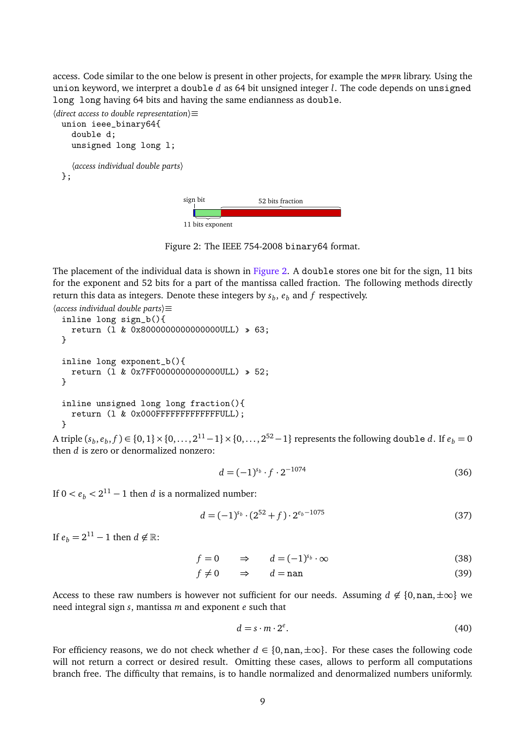access. Code similar to the one below is present in other projects, for example the mpfr library. Using the union keyword, we interpret a double *d* as 64 bit unsigned integer *l*. The code depends on unsigned long long having 64 bits and having the same endianness as double.



Figure 2: The IEEE 754-2008 binary64 format.

<span id="page-12-0"></span>The placement of the individual data is shown in [Figure 2.](#page-12-0) A double stores one bit for the sign, 11 bits for the exponent and 52 bits for a part of the mantissa called fraction. The following methods directly return this data as integers. Denote these integers by  $s_b$ ,  $e_b$  and  $f$  respectively.

```
〈access individual double parts〉≡
 inline long sign_b(){
   return (l & 0x8000000000000000ULL) » 63;
 }
 inline long exponent_b(){
   return (l & 0x7FF0000000000000ULL) » 52;
 }
 inline unsigned long long fraction(){
   return (l & 0x000FFFFFFFFFFFFFULL);
 }
```
A triple  $(s_b, e_b, f)$  ∈ {0, 1} × {0, . . . , 2<sup>11</sup> − 1} × {0, . . . , 2<sup>52</sup> − 1} represents the following double *d*. If  $e_b$  = 0 then *d* is zero or denormalized nonzero:

$$
d = (-1)^{s_b} \cdot f \cdot 2^{-1074} \tag{36}
$$

If  $0 < e_b < 2^{11} - 1$  then *d* is a normalized number:

$$
d = (-1)^{s_b} \cdot (2^{52} + f) \cdot 2^{e_b - 1075} \tag{37}
$$

If  $e_b = 2^{11} - 1$  then  $d \notin \mathbb{R}$ :

 $f = 0 \Rightarrow d = (-1)^{s_b}$  $\cdot \infty$  (38)

$$
f \neq 0 \qquad \Rightarrow \qquad d = \text{nan} \tag{39}
$$

Access to these raw numbers is however not sufficient for our needs. Assuming  $d \notin \{0, \text{nan}, \pm \infty\}$  we need integral sign *s*, mantissa *m* and exponent *e* such that

<span id="page-12-1"></span>
$$
d = s \cdot m \cdot 2^e. \tag{40}
$$

For efficiency reasons, we do not check whether  $d \in \{0, \text{nan}, \pm \infty\}$ . For these cases the following code will not return a correct or desired result. Omitting these cases, allows to perform all computations branch free. The difficulty that remains, is to handle normalized and denormalized numbers uniformly.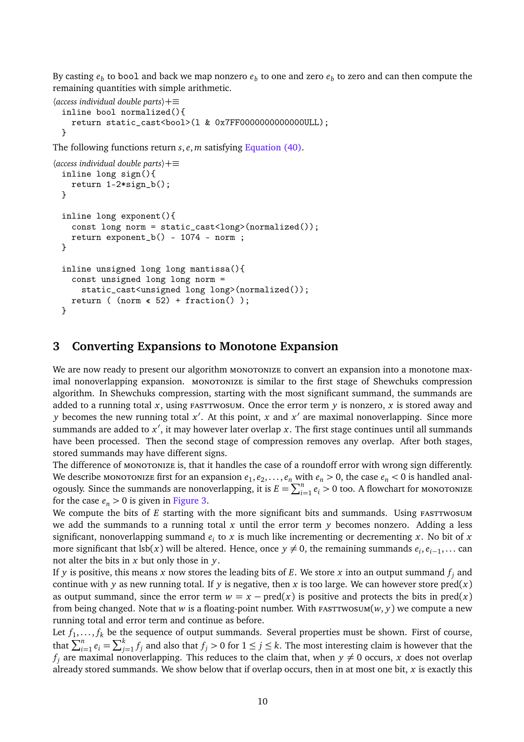By casting  $e_b$  to bool and back we map nonzero  $e_b$  to one and zero  $e_b$  to zero and can then compute the remaining quantities with simple arithmetic.

```
〈access individual double parts〉+≡
 inline bool normalized(){
    return static_cast<bool>(l & 0x7FF0000000000000ULL);
 }
```
The following functions return *s*, *e*, *m* satisfying [Equation \(40\).](#page-12-1)

```
〈access individual double parts〉+≡
 inline long sign(){
   return 1-2*sign_b();
 }
 inline long exponent(){
   const long norm = static_cast<long>(normalized());
   return exponent_b() - 1074 - norm;}
 inline unsigned long long mantissa(){
   const unsigned long long norm =
      static_cast<unsigned long long>(normalized());
   return ( (norm \le 52) + fraction() );
 }
```
### <span id="page-13-0"></span>**3 Converting Expansions to Monotone Expansion**

We are now ready to present our algorithm MONOTONIZE to convert an expansion into a monotone maximal nonoverlapping expansion. MONOTONIZE is similar to the first stage of Shewchuks compression algorithm. In Shewchuks compression, starting with the most significant summand, the summands are added to a running total x, using FASTTWOSUM. Once the error term  $y$  is nonzero, x is stored away and *y* becomes the new running total  $x'$ . At this point, *x* and  $x'$  are maximal nonoverlapping. Since more summands are added to  $x'$ , it may however later overlap  $x.$  The first stage continues until all summands have been processed. Then the second stage of compression removes any overlap. After both stages, stored summands may have different signs.

The difference of MONOTONIZE is, that it handles the case of a roundoff error with wrong sign differently. We describe monotonize first for an expansion  $e_1, e_2, \ldots, e_n$  with  $e_n > 0$ , the case  $e_n < 0$  is handled analogously. Since the summands are nonoverlapping, it is  $E = \sum_{i=1}^{n} e_i > 0$  too. A flowchart for MONOTONIZE for the case  $e_n > 0$  is given in [Figure 3.](#page-14-0)

We compute the bits of *E* starting with the more significant bits and summands. Using FASTTWOSUM we add the summands to a running total *x* until the error term *y* becomes nonzero. Adding a less significant, nonoverlapping summand  $e_i$  to  $x$  is much like incrementing or decrementing  $x$ . No bit of  $x$ more significant that  $\text{lsb}(x)$  will be altered. Hence, once  $y \neq 0$ , the remaining summands  $e_i, e_{i-1}, \ldots$  can not alter the bits in *x* but only those in *y*.

If  $y$  is positive, this means  $x$  now stores the leading bits of  $E$ . We store  $x$  into an output summand  $f_j$  and continue with *y* as new running total. If *y* is negative, then *x* is too large. We can however store  $\text{pred}(x)$ as output summand, since the error term  $w = x - pred(x)$  is positive and protects the bits in pred(*x*) from being changed. Note that *w* is a floating-point number. With  $\text{r}_{\text{ASTTWSUM}}(w, y)$  we compute a new running total and error term and continue as before.

Let  $f_1, \ldots, f_k$  be the sequence of output summands. Several properties must be shown. First of course, that  $\sum_{i=1}^{n} e_i = \sum_{j=1}^{k} f_j$  and also that  $f_j > 0$  for  $1 \le j \le k$ . The most interesting claim is however that the  $f_j$  are maximal nonoverlapping. This reduces to the claim that, when  $y \neq 0$  occurs, *x* does not overlap already stored summands. We show below that if overlap occurs, then in at most one bit, *x* is exactly this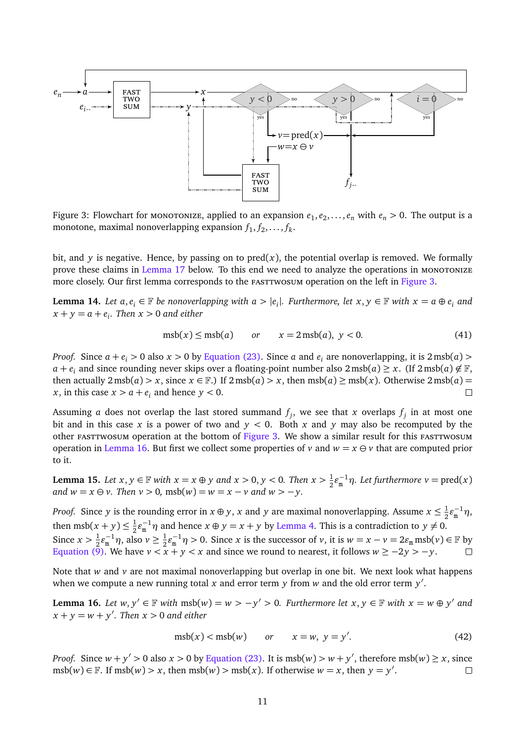<span id="page-14-0"></span>

Figure 3: Flowchart for monotonize, applied to an expansion  $e_1, e_2, \ldots, e_n$  with  $e_n > 0$ . The output is a monotone, maximal nonoverlapping expansion  $f_1, f_2, \ldots, f_k$ .

bit, and *y* is negative. Hence, by passing on to  $pred(x)$ , the potential overlap is removed. We formally prove these claims in [Lemma 17](#page-15-0) below. To this end we need to analyze the operations in MONOTONIZE more closely. Our first lemma corresponds to the *FASTTWOSUM* operation on the left in [Figure 3.](#page-14-0)

<span id="page-14-2"></span>**Lemma 14.** Let  $a, e_i$  ∈  $\mathbb F$  be nonoverlapping with  $a > |e_i|$ . Furthermore, let  $x, y ∈ \mathbb F$  with  $x = a ⊕ e_i$  and  $x + y = a + e_i$ . Then  $x > 0$  and either

$$
msb(x) \leq msb(a) \qquad or \qquad x = 2 \,\text{msb}(a), \, y < 0. \tag{41}
$$

*Proof.* Since  $a + e_i > 0$  also  $x > 0$  by [Equation \(23\).](#page-8-7) Since *a* and  $e_i$  are nonoverlapping, it is  $2 \text{ msb}(a)$  > *a* +  $e_i$  and since rounding never skips over a floating-point number also 2 msb(*a*) ≥ *x*. (If 2 msb(*a*)  $\notin \mathbb{F}$ , then actually  $2 \text{msb}(a) > x$ , since  $x \in \mathbb{F}$ .) If  $2 \text{msb}(a) > x$ , then  $\text{msb}(a) \ge \text{msb}(x)$ . Otherwise  $2 \text{msb}(a) = x$ . in this case  $x > a + e$ , and hence  $y < 0$ . *x*, in this case  $x > a + e_i$  and hence  $y < 0$ .

Assuming  $a$  does not overlap the last stored summand  $f_j$ , we see that  $x$  overlaps  $f_j$  in at most one bit and in this case x is a power of two and  $y < 0$ . Both x and y may also be recomputed by the other FASTTWOSUM operation at the bottom of [Figure 3.](#page-14-0) We show a similar result for this FASTTWOSUM operation in [Lemma 16.](#page-14-1) But first we collect some properties of *v* and  $w = x \ominus v$  that are computed prior to it.

<span id="page-14-3"></span>**Lemma 15.** *Let*  $x, y \in \mathbb{F}$  *with*  $x = x \oplus y$  *and*  $x > 0, y < 0$ *. Then*  $x > \frac{1}{2}$  $\frac{1}{2} \varepsilon_{\rm m}^{-1} \eta$ *. Let furthermore*  $v = \text{pred}(x)$ *and*  $w = x \oplus v$ . Then  $v > 0$ , msb( $w$ ) =  $w = x - v$  and  $w > -v$ .

*Proof.* Since *y* is the rounding error in  $x \oplus y$ ,  $x$  and  $y$  are maximal nonoverlapping. Assume  $x \leq \frac{1}{2}$  $\frac{1}{2}\varepsilon_{\rm m}^{-1}\eta$ , then msb( $x + y$ )  $\leq \frac{1}{2}$  $\frac{1}{2}\varepsilon_{\rm m}^{-1}\eta$  and hence  $x \oplus y = x + y$  by [Lemma 4.](#page-8-4) This is a contradiction to  $y \neq 0$ . Since  $x > \frac{1}{2}$  $\frac{1}{2} \varepsilon_{\rm m}^{-1} \eta$ , also  $v \ge \frac{1}{2}$  $\frac{1}{2}\varepsilon_{m}^{-1}\eta > 0$ . Since *x* is the successor of *v*, it is  $w = x - v = 2\varepsilon_{m} \text{msb}(v) \in \mathbb{F}$  by [Equation \(9\).](#page-7-1) We have  $v < x + y < x$  and since we round to nearest, it follows  $w \ge -2y > -y$ .

Note that *w* and *v* are not maximal nonoverlapping but overlap in one bit. We next look what happens when we compute a new running total x and error term y from w and the old error term y'.

<span id="page-14-1"></span>**Lemma 16.** Let  $w, y' \in \mathbb{F}$  with  $msb(w) = w > -y' > 0$ . Furthermore let  $x, y \in \mathbb{F}$  with  $x = w \oplus y'$  and  $x + y = w + y'$ . Then  $x > 0$  and either

$$
msb(x) < msb(w) \qquad or \qquad x = w, \ y = y'. \tag{42}
$$

*Proof.* Since  $w + y' > 0$  also  $x > 0$  by [Equation \(23\).](#page-8-7) It is  $msb(w) > w + y'$ , therefore  $msb(w) \ge x$ , since  $m\text{sb}(w) \in \mathbb{F}$ . If  $m\text{sb}(w) > x$ , then  $m\text{sb}(w) > m\text{sb}(x)$ . If otherwise  $w = x$ , then  $y = y'$ .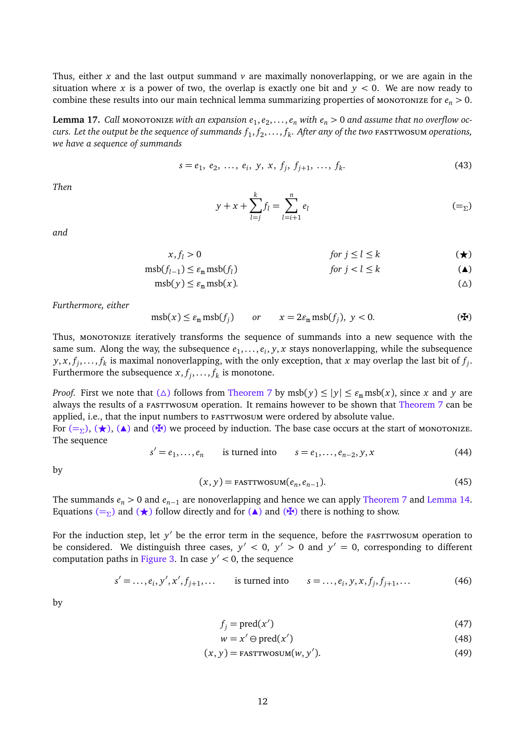Thus, either *x* and the last output summand  $\nu$  are maximally nonoverlapping, or we are again in the situation where *x* is a power of two, the overlap is exactly one bit and  $y < 0$ . We are now ready to combine these results into our main technical lemma summarizing properties of MONOTONIZE for  $e_n > 0$ .

<span id="page-15-0"></span> ${\tt Lemma~17.~Call~monoronize~with~an~expansion}~e_1,e_2,\ldots,e_n$  with  $e_n>0$  and assume that no overflow oc*curs. Let the output be the sequence of summands f*<sup>1</sup> , *f*<sup>2</sup> , . . . , *f<sup>k</sup> . After any of the two* fasttwosum *operations, we have a sequence of summands*

$$
s = e_1, e_2, \dots, e_i, y, x, f_j, f_{j+1}, \dots, f_k.
$$
 (43)

*Then*

<span id="page-15-5"></span><span id="page-15-4"></span><span id="page-15-3"></span><span id="page-15-2"></span><span id="page-15-1"></span>
$$
y + x + \sum_{l=j}^{k} f_l = \sum_{l=i+1}^{n} e_l \tag{=_\Sigma}
$$

*and*

$$
x, f_l > 0 \qquad \qquad \text{for } j \le l \le k \qquad \qquad (\star)
$$

$$
\mathrm{msb}(f_{l-1}) \le \varepsilon_{\mathrm{m}} \,\mathrm{msb}(f_l) \qquad \qquad \text{for } j < l \le k \tag{4}
$$

$$
msb(y) \le \varepsilon_m msb(x). \tag{4}
$$

*Furthermore, either*

$$
msb(x) \le \varepsilon_m msb(f_j) \qquad or \qquad x = 2\varepsilon_m msb(f_j), \ y < 0. \tag{4}
$$

Thus, MONOTONIZE iteratively transforms the sequence of summands into a new sequence with the same sum. Along the way, the subsequence  $e_1, \ldots, e_i, y, x$  stays nonoverlapping, while the subsequence  $y, x, f_j, \ldots, f_k$  is maximal nonoverlapping, with the only exception, that *x* may overlap the last bit of  $f_j$ . Furthermore the subsequence  $x, f_j, \ldots, f_k$  is monotone.

*Proof.* First we note that ( $\triangle$ ) follows from [Theorem 7](#page-9-2) by msb( $y$ )  $\le |y| \le \varepsilon_m$  msb( $x$ ), since  $x$  and  $y$  are always the results of a FASTTWOSUM operation. It remains however to be shown that [Theorem 7](#page-9-2) can be applied, i.e., that the input numbers to FASTTWOSUM were ordered by absolute value.

For  $(=\Sigma)$  $(=\Sigma)$  $(=\Sigma)$ ,  $(\star)$ , ( $\blacktriangle$ ) and ( $\blacktriangle$ ) we proceed by induction. The base case occurs at the start of monotonize. The sequence

$$
s' = e_1, ..., e_n
$$
 is turned into  $s = e_1, ..., e_{n-2}, y, x$  (44)

by

$$
(x, y) = \text{FASTTWOSUM}(e_n, e_{n-1}).
$$
\n(45)

The summands  $e_n > 0$  and  $e_{n-1}$  are nonoverlapping and hence we can apply [Theorem 7](#page-9-2) and [Lemma 14.](#page-14-2) Equations ( $=\Sigma$  $=\Sigma$ ) and ( $\star$ ) follow directly and for ( $\blacktriangle$ ) and ( $\star$ ) there is nothing to show.

For the induction step, let y' be the error term in the sequence, before the <code>FASTTWOSUM</code> operation to be considered. We distinguish three cases,  $y' < 0$ ,  $y' > 0$  and  $y' = 0$ , corresponding to different computation paths in [Figure 3.](#page-14-0) In case *y* 0 *<* 0, the sequence

$$
s' = ..., e_i, y', x', f_{j+1}, ...
$$
 is turned into  $s = ..., e_i, y, x, f_j, f_{j+1}, ...$  (46)

by

$$
f_j = \text{pred}(x') \tag{47}
$$

$$
w = x' \ominus \text{pred}(x') \tag{48}
$$

$$
(x, y) = \text{FASTTWOSUM}(w, y'). \tag{49}
$$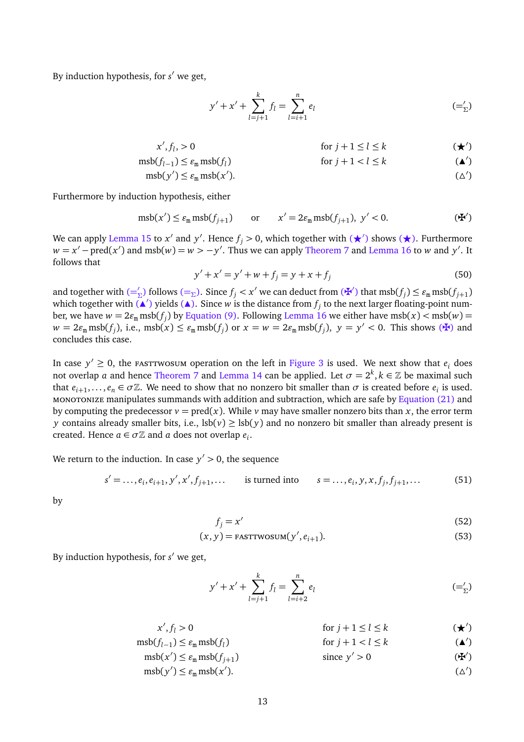By induction hypothesis, for *s'* we get,

<span id="page-16-3"></span><span id="page-16-1"></span><span id="page-16-0"></span>
$$
y' + x' + \sum_{l=j+1}^{k} f_l = \sum_{l=i+1}^{n} e_l \tag{=\,}'_2
$$

$$
x', f_l, > 0 \quad \text{for } j+1 \le l \le k \quad (\star')
$$

$$
msb(f_{l-1}) \le \varepsilon_m msb(f_l) \qquad \text{for } j+1 < l \le k \tag{\blacktriangle}
$$

$$
msb(y') \le \varepsilon_m msb(x'). \tag{ \Delta'}
$$

Furthermore by induction hypothesis, either

$$
\mathrm{msb}(x') \le \varepsilon_{\mathrm{m}} \,\mathrm{msb}(f_{j+1}) \qquad \text{or} \qquad x' = 2\varepsilon_{\mathrm{m}} \,\mathrm{msb}(f_{j+1}), \ y' < 0. \tag{4'}
$$

We can apply [Lemma 15](#page-14-3) to  $x'$  and  $y'$ . Hence  $f_j > 0$ , which together with  $(\star')$  shows  $(\star)$ . Furthermore  $w = x' - \text{pred}(x')$  and  $\text{msb}(w) = w > -y'$ . Thus we can apply [Theorem 7](#page-9-2) and [Lemma 16](#page-14-1) to *w* and *y'*. It follows that

<span id="page-16-2"></span>
$$
y' + x' = y' + w + f_j = y + x + f_j
$$
 (50)

and together with  $(=\frac{1}{2})$  $(=\frac{1}{2})$  $(=\frac{1}{2})$  follows  $(=\frac{1}{2})$ . Since  $f_j < x'$  we can deduct from  $(\mathbf{H}')$  that  $\text{msb}(f_j) \le \varepsilon_{\text{m}} \text{msb}(f_{j+1})$ which together with  $\tilde{A}'$ ) yields  $A$ ). Since *w* is the distance from  $f_j$  to the next larger floating-point number, we have  $w = 2\varepsilon_{\rm m}\,{\rm msb}(f_j)$  by [Equation \(9\).](#page-7-1) Following [Lemma 16](#page-14-1) we either have  ${\rm msb}(x) < {\rm msb}(w)$   $=$  $w = 2\varepsilon_{m} \text{msb}(f_{j}),$  i.e.,  $\text{msb}(x) \leq \varepsilon_{m} \text{msb}(f_{j})$  or  $x = w = 2\varepsilon_{m} \text{msb}(f_{j}),$   $y = y' < 0$ . This shows ( $\mathbf{F}$ ) and concludes this case.

In case  $y' \ge 0$ , the fast twosum operation on the left in [Figure 3](#page-14-0) is used. We next show that  $e_i$  does not overlap *a* and hence [Theorem 7](#page-9-2) and [Lemma 14](#page-14-2) can be applied. Let  $\sigma = 2^k, k \in \mathbb{Z}$  be maximal such that  $e_{i+1}, \ldots, e_n \in \sigma \mathbb{Z}$ . We need to show that no nonzero bit smaller than  $\sigma$  is created before  $e_i$  is used. monotonize manipulates summands with addition and subtraction, which are safe by [Equation \(21\)](#page-8-3) and by computing the predecessor  $v = \text{pred}(x)$ . While  $v$  may have smaller nonzero bits than  $x$ , the error term *y* contains already smaller bits, i.e.,  $\text{lsb}(v) \geq \text{lsb}(y)$  and no nonzero bit smaller than already present is created. Hence  $a \in \sigma \mathbb{Z}$  and  $a$  does not overlap  $e_i$ .

We return to the induction. In case  $y' > 0$ , the sequence

$$
s' = \dots, e_i, e_{i+1}, y', x', f_{j+1}, \dots
$$
 is turned into  $s = \dots, e_i, y, x, f_j, f_{j+1}, \dots$  (51)

by

$$
f_j = x'
$$
 (52)

$$
(x, y) = \text{FASTTWOSUM}(y', e_{i+1}).
$$
\n(53)

By induction hypothesis, for *s'* we get,

<span id="page-16-8"></span><span id="page-16-7"></span><span id="page-16-6"></span><span id="page-16-5"></span><span id="page-16-4"></span>
$$
y' + x' + \sum_{l=j+1}^{k} f_l = \sum_{l=i+2}^{n} e_l
$$
 (= $\zeta$ )

$$
x', f_l > 0 \qquad \text{for } j+1 \le l \le k \qquad (\star')
$$

$$
msb(f_{l-1}) \le \varepsilon_m msb(f_l) \qquad \text{for } j+1 < l \le k \tag{\blacktriangle}
$$

- $\text{msb}(x') \leq \varepsilon_{\text{m}} \text{msb}(f_{j+1})$  $\text{since } y' > 0$  ( $\mathbf{\ddot{F}}$ 0 )
- $m\text{sb}(y') \leq \varepsilon_{m} m\text{sb}(x')$  $($   $($   $)$   $)$ . 0 )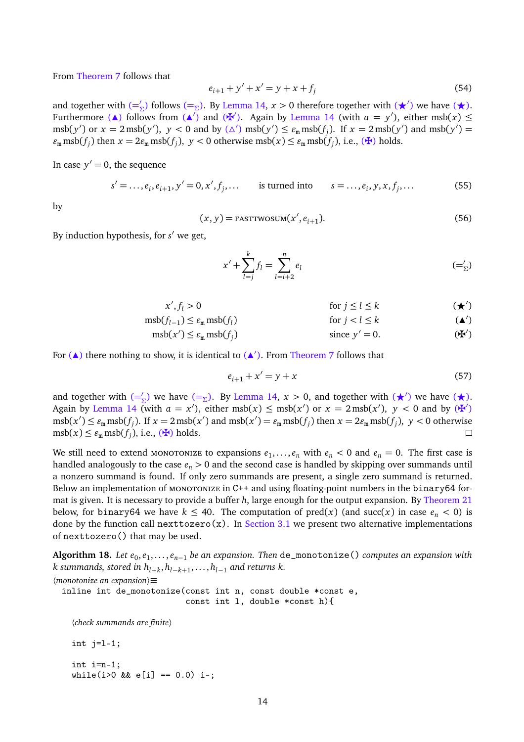From [Theorem 7](#page-9-2) follows that

$$
e_{i+1} + y' + x' = y + x + f_j \tag{54}
$$

and together with  $(=\frac{\ }{2})$  $(=\frac{\ }{2})$  $(=\frac{\ }{2})$  follows  $(=\frac{\ }{2})$ . By [Lemma 14,](#page-14-2)  $x > 0$  therefore together with  $(\star')$  we have  $(\star)$ . Furthermore (A) follows from (A<sup>'</sup>) and ( $\mathbf{F}'$ ). Again by [Lemma 14](#page-14-2) (with  $a = y'$ ), either msb( $x$ )  $\leq$  $\text{msb}(y') \text{ or } x = 2 \text{msb}(y'), y < 0 \text{ and by } (\triangle') \text{msb}(y') \le \varepsilon_{\text{m}} \text{msb}(f_j).$  If  $x = 2 \text{msb}(y')$  and  $\text{msb}(y') =$  $\varepsilon_{\text{m}} \operatorname{msb}(f_j)$  then  $x = 2\varepsilon_{\text{m}} \operatorname{msb}(f_j)$ ,  $y < 0$  otherwise  $\operatorname{msb}(x) \le \varepsilon_{\text{m}} \operatorname{msb}(f_j)$ , i.e., ( $\mathbf{\Psi}$ ) holds.

In case  $y' = 0$ , the sequence

$$
s' = \dots, e_i, e_{i+1}, y' = 0, x', f_j, \dots
$$
 is turned into  $s = \dots, e_i, y, x, f_j, \dots$  (55)

by

$$
(x, y) = \text{FASTTWOSUM}(x', e_{i+1}).
$$
\n(56)

By induction hypothesis, for *s'* we get,

<span id="page-17-2"></span><span id="page-17-1"></span>
$$
x' + \sum_{l=j}^{k} f_l = \sum_{l=i+2}^{n} e_l \tag{=\,}'_2
$$

$$
x', f_l > 0 \qquad \text{for } j \le l \le k \qquad (\star')
$$

 $\text{msb}(f_{l-1}) \leq \varepsilon_{\text{m}} \text{msb}(f_l)$ for  $j < l \leq k$ 0 )

$$
msb(x') \le \varepsilon_m msb(f_j) \qquad \text{since } y' = 0. \tag{4'}
$$

For  $(A)$  there nothing to show, it is identical to  $(A')$ . From [Theorem 7](#page-9-2) follows that

<span id="page-17-3"></span><span id="page-17-0"></span>
$$
e_{i+1} + x' = y + x \tag{57}
$$

and together with  $(=\underline{\zeta})$  $(=\underline{\zeta})$  $(=\underline{\zeta})$  we have  $(=\underline{\zeta})$ . By [Lemma 14,](#page-14-2)  $x > 0$ , and together with  $(\star)$  we have  $(\star)$ . Again by [Lemma 14](#page-14-2) (with  $a = x'$ ), either msb( $x$ )  $\leq$  msb( $x'$ ) or  $x = 2 \text{msb}(x')$ ,  $y < 0$  and by ( $\mathbb{F}'$ )  $\max(x') \le \varepsilon_m \operatorname{msb}(f_j)$ . If  $x = 2 \operatorname{msb}(x')$  and  $\operatorname{msb}(x') = \varepsilon_m \operatorname{msb}(f_j)$  then  $x = 2\varepsilon_m \operatorname{msb}(f_j)$ ,  $y < 0$  otherwise  $msb(x) \le \varepsilon_m msb(f_j),$  i.e., ( $\bigstar$ ) holds.  $\Box$ 

We still need to extend monotonize to expansions  $e_1, \ldots, e_n$  with  $e_n < 0$  and  $e_n = 0$ . The first case is handled analogously to the case *e<sup>n</sup> >* 0 and the second case is handled by skipping over summands until a nonzero summand is found. If only zero summands are present, a single zero summand is returned. Below an implementation of MONOTONIZE in C++ and using floating-point numbers in the binary64 format is given. It is necessary to provide a buffer *h*, large enough for the output expansion. By [Theorem 21](#page-19-0) below, for binary64 we have  $k \leq 40$ . The computation of pred(x) (and succ(x) in case  $e_n < 0$ ) is done by the function call nexttozero(x). In [Section 3.1](#page-19-1) we present two alternative implementations of nexttozero() that may be used.

**Algorithm 18.** *Let e<sub>0</sub>,e<sub>1</sub>,...,e<sub>n−1</sub> be an expansion. Then* de\_monotonize() *computes an expansion with k summands, stored in hl*−*<sup>k</sup>* , *<sup>h</sup>l*−*k*+<sup>1</sup> , . . . , *<sup>h</sup>l*−<sup>1</sup> *and returns k.*

```
〈monotonize an expansion〉≡
 inline int de_monotonize(const int n, const double *const e,
                             const int l, double *const h){
    〈check summands are finite〉
    int j=l-1;
    int i=n-1;
    while(i>0 && e[i] == 0.0) i-;
```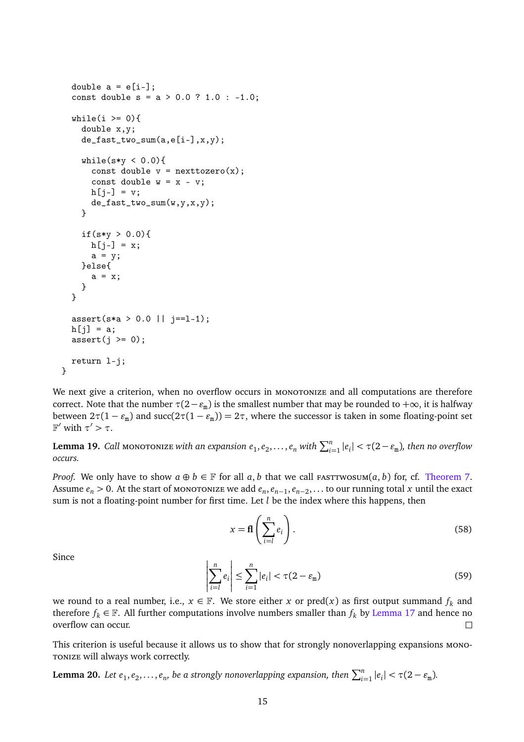```
double a = e[i-];
const double s = a > 0.0 ? 1.0 : -1.0;
while(i >= 0){
  double x,y;
  de_fast_two_sum(a,e[i–],x,y);
  while(s*y < 0.0){
    const double v = nexttozero(x);
    const double w = x - v;
    h[i-] = v;de_fast_two_sum(w,y,x,y);
  }
  if(s*y > 0.0){
   h[j-] = x;a = y;}else{
    a = x;
  }
}
assert(s*a > 0.0 || j==1-1);h[j] = a;assert(j \ge 0);return l-j;
```
We next give a criterion, when no overflow occurs in MONOTONIZE and all computations are therefore correct. Note that the number  $\tau(2-\varepsilon_m)$  is the smallest number that may be rounded to  $+\infty$ , it is halfway between  $2\tau(1-\varepsilon_m)$  and  $succ(2\tau(1-\varepsilon_m))=2\tau$ , where the successor is taken in some floating-point set F' with  $τ' > τ$ .

Lemma 19. Call monotonize with an expansion  $e_1, e_2, \ldots, e_n$  with  $\sum_{i=1}^n |e_i| < \tau(2-e_{\rm m})$ , then no overflow *occurs.*

*Proof.* We only have to show  $a \oplus b \in \mathbb{F}$  for all  $a, b$  that we call FASTTWOSUM $(a, b)$  for, cf. [Theorem 7.](#page-9-2) Assume  $e_n > 0$ . At the start of monoronize we add  $e_n, e_{n-1}, e_{n-2}, \ldots$  to our running total *x* until the exact sum is not a floating-point number for first time. Let *l* be the index where this happens, then

$$
x = \mathbf{fl}\left(\sum_{i=l}^{n} e_i\right). \tag{58}
$$

Since

}

$$
\left| \sum_{i=l}^{n} e_i \right| \le \sum_{i=1}^{n} |e_i| < \tau(2 - \varepsilon_m) \tag{59}
$$

we round to a real number, i.e.,  $x \in \mathbb{F}$ . We store either *x* or pred(*x*) as first output summand  $f_k$  and therefore  $f_k \in \mathbb{F}$ . All further computations involve numbers smaller than  $f_k$  by [Lemma 17](#page-15-0) and hence no overflow can occur.

This criterion is useful because it allows us to show that for strongly nonoverlapping expansions monotonize will always work correctly.

**Lemma 20.** Let  $e_1, e_2, \ldots, e_n$ , be a strongly nonoverlapping expansion, then  $\sum_{i=1}^n |e_i| < \tau(2 - \varepsilon_m)$ .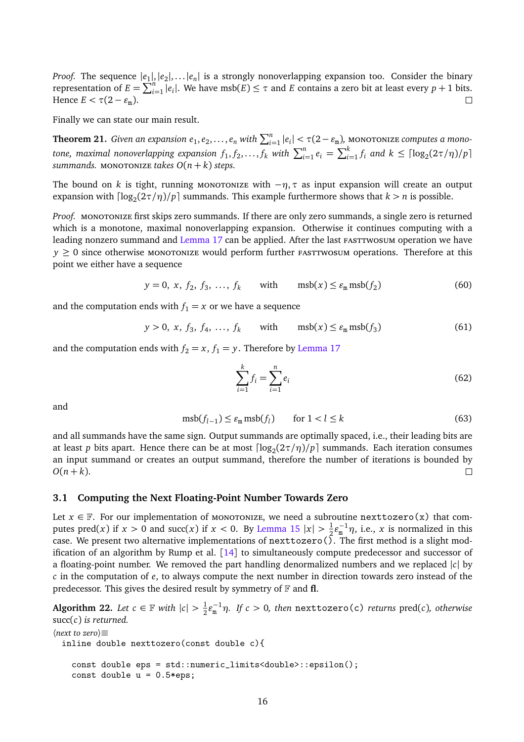*Proof.* The sequence  $|e_1|, |e_2|, \ldots |e_n|$  is a strongly nonoverlapping expansion too. Consider the binary representation of  $E = \sum_{i=1}^{n} |e_i|$ . We have msb( $E$ )  $\leq \tau$  and  $E$  contains a zero bit at least every  $p + 1$  bits. Hence  $E < \tau(2 - \varepsilon_{\rm m})$ .

Finally we can state our main result.

<span id="page-19-0"></span>**Theorem 21.** *Given an expansion*  $e_1, e_2, \ldots, e_n$  *with*  $\sum_{i=1}^n |e_i| < \tau(2 - \varepsilon_m)$ *, monotonize <i>computes a mono*tone, maximal nonoverlapping expansion  $f_1, f_2, ..., f_k$  with  $\sum_{i=1}^n e_i = \sum_{i=1}^k f_i$  and  $k \leq \lceil \log_2(2\tau/\eta)/p \rceil$ *summands.* MONOTONIZE *takes*  $O(n+k)$  *steps.* 

The bound on *k* is tight, running monotonize with  $-\eta$ ,  $\tau$  as input expansion will create an output expansion with  $\lceil \log_2(2\tau/\eta)/p \rceil$  summands. This example furthermore shows that  $k > n$  is possible.

*Proof.* MONOTONIZE first skips zero summands. If there are only zero summands, a single zero is returned which is a monotone, maximal nonoverlapping expansion. Otherwise it continues computing with a leading nonzero summand and [Lemma 17](#page-15-0) can be applied. After the last FASTTWOSUM operation we have  $y \ge 0$  since otherwise monotonize would perform further *FASTTWOSUM* operations. Therefore at this point we either have a sequence

$$
y = 0, x, f_2, f_3, ..., f_k
$$
 with  $msb(x) \le \varepsilon_m msb(f_2)$  (60)

and the computation ends with  $f_1 = x$  or we have a sequence

$$
y > 0, x, f_3, f_4, ..., f_k
$$
 with  $msb(x) \le \varepsilon_m msb(f_3)$  (61)

and the computation ends with  $f_2 = x$ ,  $f_1 = y$ . Therefore by [Lemma 17](#page-15-0)

$$
\sum_{i=1}^{k} f_i = \sum_{i=1}^{n} e_i
$$
\n(62)

and

$$
\mathrm{msb}(f_{l-1}) \le \varepsilon_{\mathrm{m}} \,\mathrm{msb}(f_l) \qquad \text{for } l < l \le k \tag{63}
$$

and all summands have the same sign. Output summands are optimally spaced, i.e., their leading bits are at least *p* bits apart. Hence there can be at most  $\lceil \log_2(2\tau/\eta)/p \rceil$  summands. Each iteration consumes an input summand or creates an output summand, therefore the number of iterations is bounded by  $O(n + k)$ .  $\Box$ 

#### <span id="page-19-1"></span>**3.1 Computing the Next Floating-Point Number Towards Zero**

Let  $x \in \mathbb{F}$ . For our implementation of monoronize, we need a subroutine nexttozero(x) that computes pred(*x*) if  $x > 0$  and succ(*x*) if  $x < 0$ . By [Lemma 15](#page-14-3)  $|x| > \frac{1}{2}$  $\frac{1}{2} \varepsilon_{\rm m}^{-1} \eta$ , i.e., *x* is normalized in this case. We present two alternative implementations of nexttozero( $\tilde{\lambda}$ . The first method is a slight modification of an algorithm by Rump et al.  $\lceil 14 \rceil$  $\lceil 14 \rceil$  $\lceil 14 \rceil$  to simultaneously compute predecessor and successor of a floating-point number. We removed the part handling denormalized numbers and we replaced |*c*| by *c* in the computation of *e*, to always compute the next number in direction towards zero instead of the predecessor. This gives the desired result by symmetry of  $\mathbb F$  and **fl**.

**Algorithm 22.** *Let*  $c \in \mathbb{F}$  *with*  $|c| > \frac{1}{2}$  $\frac{1}{2}$ ε<sup>-1</sup>η. If c > 0, then nexttozero(c) *returns* pred(*c*), otherwise succ(*c*) *is returned.*

```
〈next to zero〉≡
 inline double nexttozero(const double c){
   const double eps = std::numeric_limits<double>::epsilon();
   const double u = 0.5*eps;
```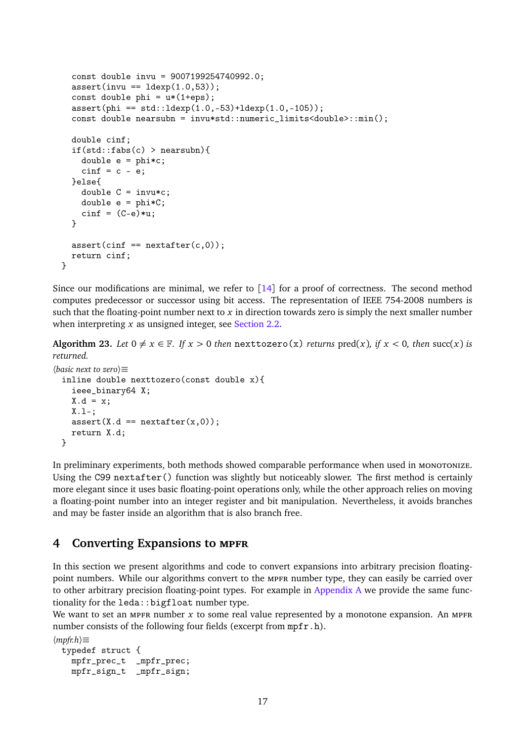```
const double invu = 9007199254740992.0;
  assert(invu == 1dexp(1.0,53));const double phi = u*(1+eps);
  assert(phi == std::ldexp(1.0, -53)+ldexp(1.0, -105));const double nearsubn = invu*std::numeric_limits<double>::min();
  double cinf;
  if(stat::fabs(c) > nearsubn){
    double e = \text{phi} \cdot c;
    \text{cinf} = c - e;
  }else{
    double C = invu*c;double e = phi*C;\text{cinf} = (C-e)*u;}
  assert(cinf == nextafter(c,0));return cinf;
}
```
Since our modifications are minimal, we refer to  $\lceil 14 \rceil$  $\lceil 14 \rceil$  $\lceil 14 \rceil$  for a proof of correctness. The second method computes predecessor or successor using bit access. The representation of IEEE 754-2008 numbers is such that the floating-point number next to *x* in direction towards zero is simply the next smaller number when interpreting *x* as unsigned integer, see [Section 2.2.](#page-11-1)

**Algorithm 23.** Let  $0 \neq x \in \mathbb{F}$ . If  $x > 0$  then nexttozero(x) *returns* pred(x), if  $x < 0$ , then succ(x) is *returned.*

```
〈basic next to zero〉≡
 inline double nexttozero(const double x){
    ieee_binary64 X;
   X.d = x;X.1 -;
    assert(X.d == nextafter(x,0));return X.d;
 }
```
In preliminary experiments, both methods showed comparable performance when used in monotonize. Using the C99 nextafter() function was slightly but noticeably slower. The first method is certainly more elegant since it uses basic floating-point operations only, while the other approach relies on moving a floating-point number into an integer register and bit manipulation. Nevertheless, it avoids branches and may be faster inside an algorithm that is also branch free.

# <span id="page-20-0"></span>**4 Converting Expansions to mpfr**

In this section we present algorithms and code to convert expansions into arbitrary precision floatingpoint numbers. While our algorithms convert to the MPFR number type, they can easily be carried over to other arbitrary precision floating-point types. For example in [Appendix A](#page-30-10) we provide the same functionality for the leda:: bigfloat number type.

We want to set an MPFR number  $x$  to some real value represented by a monotone expansion. An MPFR number consists of the following four fields (excerpt from mpfr.h).

```
〈mpfr.h〉≡
 typedef struct {
   mpfr_prec_t _mpfr_prec;
   mpfr_sign_t _mpfr_sign;
```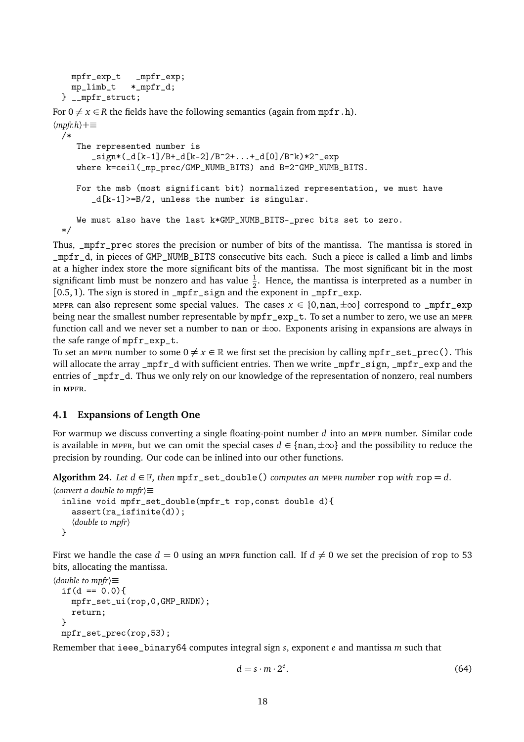```
mpfr_exp_t _mpfr_exp;
 mp_limb_t *_mpfr_d;
} __mpfr_struct;
```

```
For 0 \neq x \in R the fields have the following semantics (again from mpfr.h).
〈mpfr.h〉+≡
```

```
/*
```

```
The represented number is
   \text{sign}*({d[k-1]}/B+\text{d}[k-2]/B^2+\ldots+\text{d}[0]/B^k)*2^{\sim}exp
where k=ceil(_mp_prec/GMP_NUMB_BITS) and B=2^GMP_NUMB_BITS.
For the msb (most significant bit) normalized representation, we must have
   _d[k-1]>=B/2, unless the number is singular.
We must also have the last k*GMP_NUMB_BITS-_prec bits set to zero.
```
\*/

Thus, \_mpfr\_prec stores the precision or number of bits of the mantissa. The mantissa is stored in \_mpfr\_d, in pieces of GMP\_NUMB\_BITS consecutive bits each. Such a piece is called a limb and limbs at a higher index store the more significant bits of the mantissa. The most significant bit in the most significant limb must be nonzero and has value  $\frac{1}{2}$ . Hence, the mantissa is interpreted as a number in [0.5, 1). The sign is stored in \_mpfr\_sign and the exponent in \_mpfr\_exp.

mpfr can also represent some special values. The cases  $x \in \{0, \text{nan}, \pm \infty\}$  correspond to \_mpfr\_exp being near the smallest number representable by  $mpfr\_exp_t$ . To set a number to zero, we use an MPFR function call and we never set a number to nan or  $\pm\infty$ . Exponents arising in expansions are always in the safe range of mpfr\_exp\_t.

To set an MPFR number to some  $0 \neq x \in \mathbb{R}$  we first set the precision by calling mpfr\_set\_prec(). This will allocate the array \_mpfr\_d with sufficient entries. Then we write \_mpfr\_sign, \_mpfr\_exp and the entries of \_mpfr\_d. Thus we only rely on our knowledge of the representation of nonzero, real numbers in MPFR.

# <span id="page-21-0"></span>**4.1 Expansions of Length One**

For warmup we discuss converting a single floating-point number *d* into an mpfr number. Similar code is available in mpfr, but we can omit the special cases  $d \in \{nan, \pm \infty\}$  and the possibility to reduce the precision by rounding. Our code can be inlined into our other functions.

**Algorithm 24.** *Let*  $d \in \mathbb{F}$ *, then*  $mpfr_set_double()$  *computes an MPFR number* rop *with* rop = *d*.

```
〈convert a double to mpfr〉≡
 inline void mpfr_set_double(mpfr_t rop,const double d){
    assert(ra_isfinite(d));
    〈double to mpfr〉
 }
```
First we handle the case  $d = 0$  using an MPFR function call. If  $d \neq 0$  we set the precision of rop to 53 bits, allocating the mantissa.

```
〈double to mpfr〉≡
 if(d == 0.0)mpfr_set_ui(rop,0,GMP_RNDN);
    return;
 }
 mpfr_set_prec(rop,53);
```
Remember that ieee\_binary64 computes integral sign *s*, exponent *e* and mantissa *m* such that

$$
d = s \cdot m \cdot 2^e. \tag{64}
$$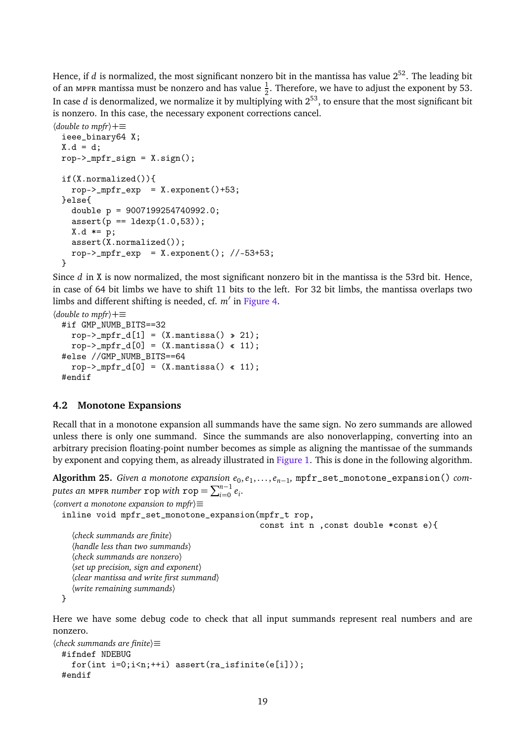Hence, if *d* is normalized, the most significant nonzero bit in the mantissa has value  $2^{52}$ . The leading bit of an мрғк mantissa must be nonzero and has value  $\frac{1}{2}$ . Therefore, we have to adjust the exponent by 53. In case *d* is denormalized, we normalize it by multiplying with  $2^{53}$ , to ensure that the most significant bit is nonzero. In this case, the necessary exponent corrections cancel.

```
〈double to mpfr〉+≡
 ieee_binary64 X;
 X.d = d;rop->_mpr\_sign = X.sizen();
 if(X.normalized()){
   rop->_mpfr\_exp = X.exponent()+53;
 }else{
   double p = 9007199254740992.0;
   assert(p == 1dexp(1.0, 53));
   X.d \neq p;assert(X.normalized());
   rop->_mpfr\_exp = X.exponent(); //-53+53;
 }
```
Since *d* in X is now normalized, the most significant nonzero bit in the mantissa is the 53rd bit. Hence, in case of 64 bit limbs we have to shift 11 bits to the left. For 32 bit limbs, the mantissa overlaps two limbs and different shifting is needed, cf. *m'* in [Figure 4.](#page-24-0)

```
〈double to mpfr〉+≡
 #if GMP_NUMB_BITS==32
    rop->_mpfr_d[1] = (X.mantissa() \ge 21);rop->_mpfr_d[0] = (X.mantissa() \text{ « 11)};#else //GMP_NUMB_BITS==64
    rop->_mpfr_d[0] = (X.mantissa() \text{ « 11)};#endif
```
### **4.2 Monotone Expansions**

Recall that in a monotone expansion all summands have the same sign. No zero summands are allowed unless there is only one summand. Since the summands are also nonoverlapping, converting into an arbitrary precision floating-point number becomes as simple as aligning the mantissae of the summands by exponent and copying them, as already illustrated in [Figure 1.](#page-11-0) This is done in the following algorithm.

**Algorithm 25.** *Given a monotone expansion*  $e_0, e_1, ..., e_{n-1}$ , mpfr\_set\_monotone\_expansion() computes an mpfr *number* rop with  $\text{rop} = \sum_{i=0}^{n-1} e_i$ . 〈*convert a monotone expansion to mpfr*〉≡

inline void mpfr\_set\_monotone\_expansion(mpfr\_t rop, const int n ,const double \*const e){ 〈*check summands are finite*〉 〈*handle less than two summands*〉 〈*check summands are nonzero*〉 〈*set up precision, sign and exponent*〉 〈*clear mantissa and write first summand*〉 〈*write remaining summands*〉

```
}
```
Here we have some debug code to check that all input summands represent real numbers and are nonzero.

```
〈check summands are finite〉≡
 #ifndef NDEBUG
    for(int i=0; i \leq n; ++i) assert-ra\_isfinite(e[i]));
  #endif
```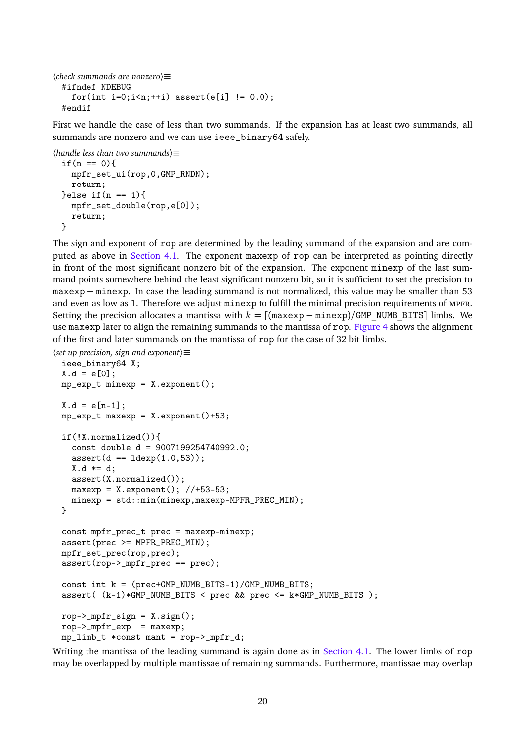```
〈check summands are nonzero〉≡
 #ifndef NDEBUG
    for(int i=0; i \le n; ++i) assert(e[i] != 0.0);#endif
```
First we handle the case of less than two summands. If the expansion has at least two summands, all summands are nonzero and we can use ieee\_binary64 safely.

```
〈handle less than two summands〉≡
 if(n == 0)mpfr_set_ui(rop,0,GMP_RNDN);
   return;
 }else if(n == 1){
   mpfr_set_double(rop,e[0]);
    return;
 }
```
The sign and exponent of rop are determined by the leading summand of the expansion and are computed as above in [Section 4.1.](#page-21-0) The exponent maxexp of rop can be interpreted as pointing directly in front of the most significant nonzero bit of the expansion. The exponent minexp of the last summand points somewhere behind the least significant nonzero bit, so it is sufficient to set the precision to maxexp − minexp. In case the leading summand is not normalized, this value may be smaller than 53 and even as low as 1. Therefore we adjust minexp to fulfill the minimal precision requirements of MPFR. Setting the precision allocates a mantissa with  $k = [(maxexp - minexp)/GMP$  NUMB BITS limbs. We use maxexp later to align the remaining summands to the mantissa of rop. [Figure 4](#page-24-0) shows the alignment of the first and later summands on the mantissa of rop for the case of 32 bit limbs.

```
〈set up precision, sign and exponent〉≡
```

```
ieee_binary64 X;
X.d = e[0];mp\_exp_t minexp = X.exponent();
X.d = e[n-1];mp\_exp_t maxexp = X.exponent()+53;
if(!X.normalized()){
  const double d = 9007199254740992.0;
  assert(d == 1dexp(1.0, 53));
 X.d \neq d;
  assert(X.normalized());
 maxexp = X. exponent(); //+53-53;
 minexp = std::min(minexp,maxexp-MPFR_PREC_MIN);
}
const mpfr_prec_t prec = maxexp-minexp;
assert(prec >= MPFR_PREC_MIN);
mpfr_set_prec(rop,prec);
assert(rop->_mpfr_prec == prec);
const int k = (prec+GMP_NUMB_BITS-1)/GMP_NUMB_BITS;
assert( (k-1)*GMP_NUMB_BITS < prec && prec <= k*GMP_NUMB_BITS );
rop->_mpr\_sign = X.sizen();
rop->_mpfr\_exp = maxexp;
mp_limb_t *const mant = rop->_mpfr_d;
```
Writing the mantissa of the leading summand is again done as in [Section 4.1.](#page-21-0) The lower limbs of rop may be overlapped by multiple mantissae of remaining summands. Furthermore, mantissae may overlap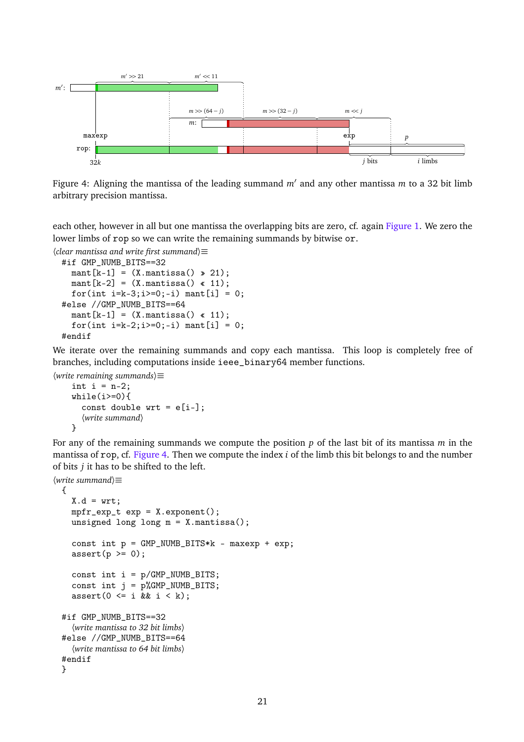<span id="page-24-0"></span>

Figure 4: Aligning the mantissa of the leading summand  $m'$  and any other mantissa  $m$  to a 32 bit limb arbitrary precision mantissa.

each other, however in all but one mantissa the overlapping bits are zero, cf. again [Figure 1.](#page-11-0) We zero the lower limbs of rop so we can write the remaining summands by bitwise or.

```
〈clear mantissa and write first summand〉≡
```

```
#if GMP_NUMB_BITS==32
  mant[k-1] = (X.\text{mantissa}() \ge 21);mant[k-2] = (X.\text{mantissa}() \cdot 11);for(int i=k-3; i>=0; -i) mant[i] = 0;
#else //GMP_NUMB_BITS==64
  mant[k-1] = (X.\text{mantissa}() \ll 11);for(int i=k-2; i>=0; -i) mant[i] = 0;
#endif
```
We iterate over the remaining summands and copy each mantissa. This loop is completely free of branches, including computations inside ieee\_binary64 member functions.

```
〈write remaining summands〉≡
    int i = n-2;
    while(i>=0){
      const double wrt = e[i-];〈write summand〉
    }
```
For any of the remaining summands we compute the position *p* of the last bit of its mantissa *m* in the mantissa of rop, cf. [Figure 4.](#page-24-0) Then we compute the index *i* of the limb this bit belongs to and the number of bits *j* it has to be shifted to the left.

```
〈write summand〉≡
 {
    X.d = wrt;mpfr\_exp_t exp = X.exponent();
    unsigned long long m = X.mantissa();
    const int p = GMP_NUMB_BITS*k - maxexp + exp;assert(p \ge 0);const int i = p/GMP_NUMB_BITS;const int j = p\text{/GMP_NUMB_BITS};
    assert(0 \leq i \& k \neq i \leq k);
 #if GMP_NUMB_BITS==32
    〈write mantissa to 32 bit limbs〉
 #else //GMP_NUMB_BITS==64
    〈write mantissa to 64 bit limbs〉
 #endif
 }
```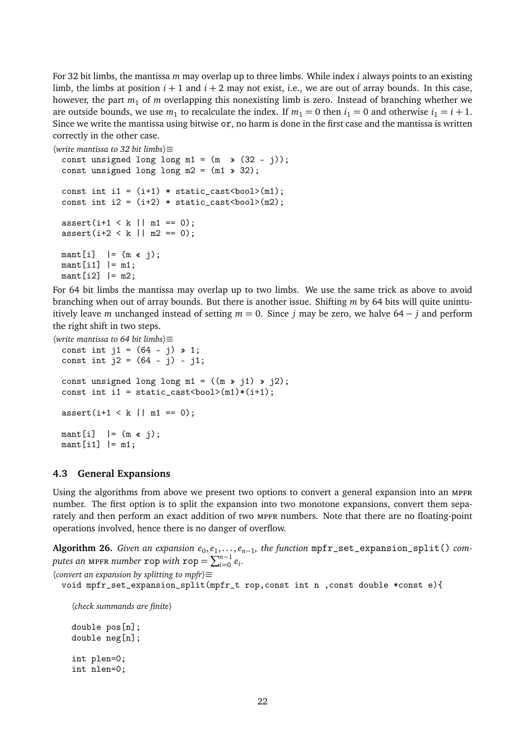For 32 bit limbs, the mantissa *m* may overlap up to three limbs. While index *i* always points to an existing limb, the limbs at position  $i + 1$  and  $i + 2$  may not exist, i.e., we are out of array bounds. In this case, however, the part *m*<sup>1</sup> of *m* overlapping this nonexisting limb is zero. Instead of branching whether we are outside bounds, we use  $m_1$  to recalculate the index. If  $m_1 = 0$  then  $i_1 = 0$  and otherwise  $i_1 = i + 1$ . Since we write the mantissa using bitwise or, no harm is done in the first case and the mantissa is written correctly in the other case.

〈*write mantissa to 32 bit limbs*〉≡

```
const unsigned long long m1 = (m \rightarrow (32 - j));const unsigned long long m2 = (m1 \gg 32);
const int i1 = (i+1) * static_cast<br/>bool>(m1);
const int i2 = (i+2) * static_cast <br/>bool>(m2);
assert(i+1 < k | | m1 == 0);assert(i+2 < k || m2 == 0);mant[i] | = (m \times j);mant[i1] | = m1;\text{mant}[i2] |= m2;
```
For 64 bit limbs the mantissa may overlap up to two limbs. We use the same trick as above to avoid branching when out of array bounds. But there is another issue. Shifting *m* by 64 bits will quite unintuitively leave *m* unchanged instead of setting  $m = 0$ . Since *j* may be zero, we halve 64 − *j* and perform the right shift in two steps.

```
〈write mantissa to 64 bit limbs〉≡
 const int j1 = (64 - j) \ge 1;
 const int j2 = (64 - j) - j1;
 const unsigned long long m1 = ((m \n\ge j1) \n\ge j2);const int i1 = static_cast<br/>bool>(m1)*(i+1);
 assert(i+1 < k | | m1 == 0);mant[i] | = (m \times i);mant[i1] | = m1;
```
### <span id="page-25-0"></span>**4.3 General Expansions**

Using the algorithms from above we present two options to convert a general expansion into an MPFR number. The first option is to split the expansion into two monotone expansions, convert them separately and then perform an exact addition of two MPFR numbers. Note that there are no floating-point operations involved, hence there is no danger of overflow.

**Algorithm 26.** *Given an expansion e*<sub>0</sub>,e<sub>1</sub>,...,e<sub>n-1</sub>, the function mpfr\_set\_expansion\_split() computes an mpfr *number* rop with  $\text{rop} = \sum_{i=0}^{n-1} e_i$ .

〈*convert an expansion by splitting to mpfr*〉≡

```
void mpfr_set_expansion_split(mpfr_t rop,const int n ,const double *const e){
```
〈*check summands are finite*〉 double pos[n];

```
double neg[n];
int plen=0;
int nlen=0;
```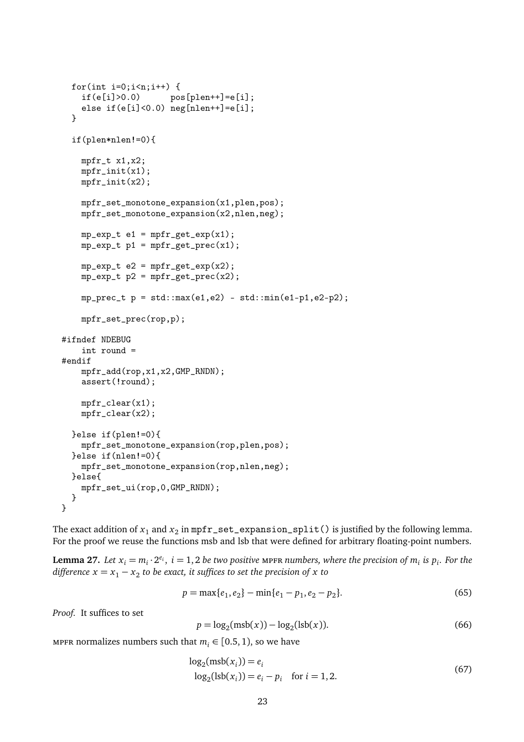```
for(int i=0; i \le n; i++) {
    if(e[i]>0.0) pos[phen++] = e[i];else if(e[i]<0.0) neg[nelen++]=e[i];}
  if(plen*nlen!=0){
    mpfr_t x1,x2;
    mpfr\_init(x1);mpfr\_init(x2);mpfr_set_monotone_expansion(x1,plen,pos);
    mpfr_set_monotone_expansion(x2,nlen,neg);
    mp\_\exp\_{t} e1 = mpfr\_\get\_\exp(x1);
    mp\_exp_t p1 = mpfr\_get\_prec(x1);
    mp\_exp_t e2 = mpfr\_get\_exp(x2);
    mp\_exp_t p2 = mpfr\_get\_prec(x2);
    mp\_prec_t p = std::max(e1,e2) - std::min(e1-p1,e2-p2);mpfr_set_prec(rop,p);
#ifndef NDEBUG
    int round =
#endif
    mpfr_add(rop,x1,x2,GMP_RNDN);
    assert(!round);
    mpfr_{clear}(x1);mpfr_clear(x2);
  }else if(plen!=0){
    mpfr_set_monotone_expansion(rop,plen,pos);
  }else if(nlen!=0){
    mpfr_set_monotone_expansion(rop,nlen,neg);
  }else{
    mpfr_set_ui(rop,0,GMP_RNDN);
  }
}
```
The exact addition of  $x_1$  and  $x_2$  in  ${\tt mpfr\_set\_expansion\_split}$  ( ) is justified by the following lemma. For the proof we reuse the functions msb and lsb that were defined for arbitrary floating-point numbers.

**Lemma 27.** Let  $x_i = m_i \cdot 2^{e_i}$ ,  $i = 1, 2$  be two positive mpfr numbers, where the precision of  $m_i$  is  $p_i$ . For the *difference*  $x = x_1 - x_2$  to be exact, it suffices to set the precision of x to

$$
p = \max\{e_1, e_2\} - \min\{e_1 - p_1, e_2 - p_2\}.
$$
 (65)

*Proof.* It suffices to set

$$
p = \log_2(\text{msb}(x)) - \log_2(\text{lsb}(x)).
$$
\n(66)

mpfr normalizes numbers such that  $m_i \in [0.5, 1)$ , so we have

$$
log2(msb(xi)) = ei
$$
  
\n
$$
log2(lsb(xi)) = ei - pi for i = 1, 2.
$$
 (67)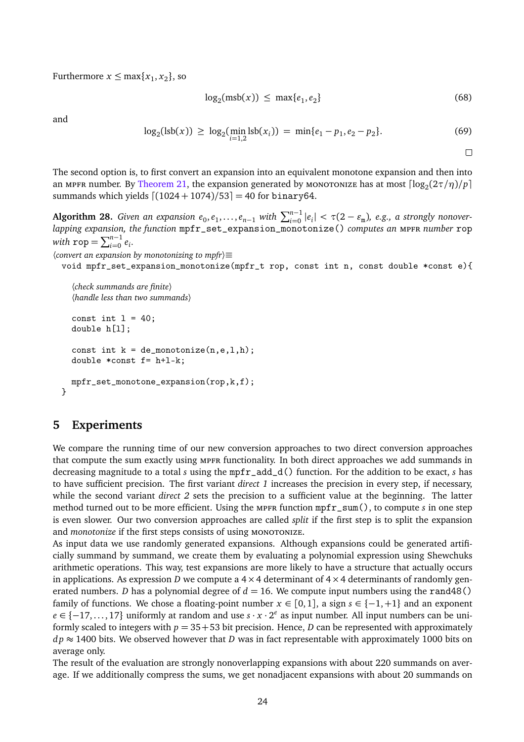Furthermore  $x \leq \max\{x_1, x_2\}$ , so

$$
\log_2(\text{msb}(x)) \le \max\{e_1, e_2\} \tag{68}
$$

and

$$
\log_2(\text{lsb}(x)) \ge \log_2(\min_{i=1,2} \text{lsb}(x_i)) = \min\{e_1 - p_1, e_2 - p_2\}. \tag{69}
$$

 $\Box$ 

The second option is, to first convert an expansion into an equivalent monotone expansion and then into an мрғк number. By [Theorem 21,](#page-19-0) the expansion generated by момотоміze has at most  $\lceil \log_2(2\tau/\eta)/p \rceil$ summands which yields  $[(1024 + 1074)/53] = 40$  for binary64.

 $\Delta$ **Algorithm 28.** *Given an expansion*  $e_0, e_1, \ldots, e_{n-1}$  *with*  $\sum_{i=0}^{n-1} |e_i| < \tau(2 - \varepsilon_m)$ *, e.g., a strongly nonoverlapping expansion, the function* mpfr\_set\_expansion\_monotonize() *computes an* mpfr *number* rop *with*  $\text{rop} = \sum_{i=0}^{n-1} e_i$ .

```
〈convert an expansion by monotonizing to mpfr〉≡
```

```
void mpfr_set_expansion_monotonize(mpfr_t rop, const int n, const double *const e){
```

```
〈check summands are finite〉
〈handle less than two summands〉
```

```
const int l = 40;
double h[l];
const int k = de_{monotonic}(n, e, l, h);double *const f= h+l-k;
mpfr_set_monotone_expansion(rop,k,f);
```
# <span id="page-27-0"></span>**5 Experiments**

}

We compare the running time of our new conversion approaches to two direct conversion approaches that compute the sum exactly using mpFR functionality. In both direct approaches we add summands in decreasing magnitude to a total *s* using the mpfr\_add\_d() function. For the addition to be exact, *s* has to have sufficient precision. The first variant *direct 1* increases the precision in every step, if necessary, while the second variant *direct 2* sets the precision to a sufficient value at the beginning. The latter method turned out to be more efficient. Using the MPFR function mpfr\_sum(), to compute *s* in one step is even slower. Our two conversion approaches are called *split* if the first step is to split the expansion and *monotonize* if the first steps consists of using MONOTONIZE.

As input data we use randomly generated expansions. Although expansions could be generated artificially summand by summand, we create them by evaluating a polynomial expression using Shewchuks arithmetic operations. This way, test expansions are more likely to have a structure that actually occurs in applications. As expression *D* we compute a  $4 \times 4$  determinant of  $4 \times 4$  determinants of randomly generated numbers. *D* has a polynomial degree of  $d = 16$ . We compute input numbers using the rand48() family of functions. We chose a floating-point number  $x \in [0,1]$ , a sign  $s \in \{-1,+1\}$  and an exponent *e* ∈ {-17,..., 17} uniformly at random and use  $s \cdot x \cdot 2^e$  as input number. All input numbers can be uniformly scaled to integers with  $p = 35 + 53$  bit precision. Hence, *D* can be represented with approximately  $dp \approx 1400$  bits. We observed however that *D* was in fact representable with approximately 1000 bits on average only.

The result of the evaluation are strongly nonoverlapping expansions with about 220 summands on average. If we additionally compress the sums, we get nonadjacent expansions with about 20 summands on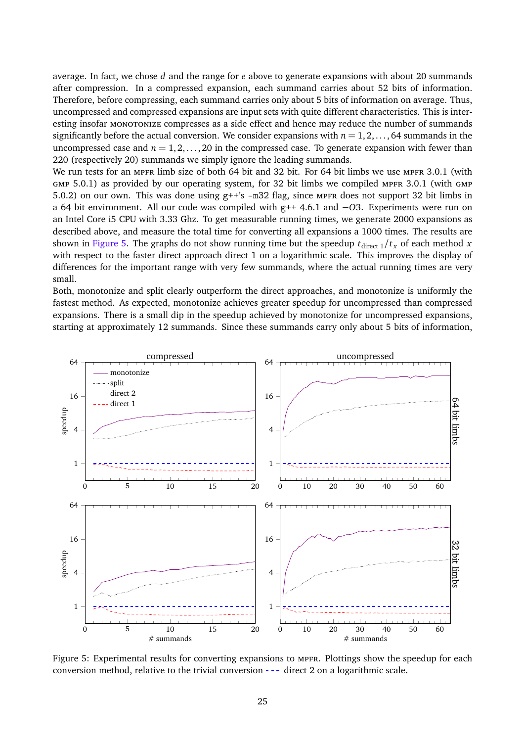average. In fact, we chose *d* and the range for *e* above to generate expansions with about 20 summands after compression. In a compressed expansion, each summand carries about 52 bits of information. Therefore, before compressing, each summand carries only about 5 bits of information on average. Thus, uncompressed and compressed expansions are input sets with quite different characteristics. This is interesting insofar monotonize compresses as a side effect and hence may reduce the number of summands significantly before the actual conversion. We consider expansions with  $n = 1, 2, \ldots, 64$  summands in the uncompressed case and  $n = 1, 2, \ldots, 20$  in the compressed case. To generate expansion with fewer than 220 (respectively 20) summands we simply ignore the leading summands.

We run tests for an MPFR limb size of both 64 bit and 32 bit. For 64 bit limbs we use MPFR 3.0.1 (with  $GMP 5.0.1$ ) as provided by our operating system, for 32 bit limbs we compiled MPFR 3.0.1 (with  $GMP$ 5.0.2) on our own. This was done using g++'s -m32 flag, since MPFR does not support 32 bit limbs in a 64 bit environment. All our code was compiled with g++ 4.6.1 and −*O*3. Experiments were run on an Intel Core i5 CPU with 3.33 Ghz. To get measurable running times, we generate 2000 expansions as described above, and measure the total time for converting all expansions a 1000 times. The results are shown in [Figure 5.](#page-28-0) The graphs do not show running time but the speedup  $t_{\text{direct 1}}/t_x$  of each method *x* with respect to the faster direct approach direct 1 on a logarithmic scale. This improves the display of differences for the important range with very few summands, where the actual running times are very small.

Both, monotonize and split clearly outperform the direct approaches, and monotonize is uniformly the fastest method. As expected, monotonize achieves greater speedup for uncompressed than compressed expansions. There is a small dip in the speedup achieved by monotonize for uncompressed expansions, starting at approximately 12 summands. Since these summands carry only about 5 bits of information,

<span id="page-28-0"></span>

Figure 5: Experimental results for converting expansions to mpfr. Plottings show the speedup for each conversion method, relative to the trivial conversion  $---$  direct 2 on a logarithmic scale.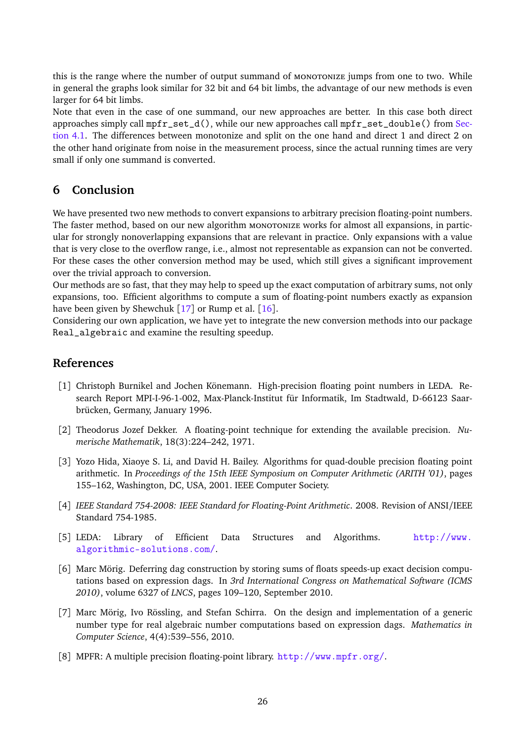this is the range where the number of output summand of MONOTONIZE jumps from one to two. While in general the graphs look similar for 32 bit and 64 bit limbs, the advantage of our new methods is even larger for 64 bit limbs.

Note that even in the case of one summand, our new approaches are better. In this case both direct approaches simply call  $mpr$  set\_d(), while our new approaches call  $mpr$  set\_double() from [Sec](#page-21-0)[tion 4.1.](#page-21-0) The differences between monotonize and split on the one hand and direct 1 and direct 2 on the other hand originate from noise in the measurement process, since the actual running times are very small if only one summand is converted.

# **6 Conclusion**

We have presented two new methods to convert expansions to arbitrary precision floating-point numbers. The faster method, based on our new algorithm monotonize works for almost all expansions, in particular for strongly nonoverlapping expansions that are relevant in practice. Only expansions with a value that is very close to the overflow range, i.e., almost not representable as expansion can not be converted. For these cases the other conversion method may be used, which still gives a significant improvement over the trivial approach to conversion.

Our methods are so fast, that they may help to speed up the exact computation of arbitrary sums, not only expansions, too. Efficient algorithms to compute a sum of floating-point numbers exactly as expansion have been given by Shewchuk [[17](#page-30-3)] or Rump et al. [[16](#page-30-9)].

Considering our own application, we have yet to integrate the new conversion methods into our package Real\_algebraic and examine the resulting speedup.

# **References**

- <span id="page-29-7"></span>[1] Christoph Burnikel and Jochen Könemann. High-precision floating point numbers in LEDA. Research Report MPI-I-96-1-002, Max-Planck-Institut für Informatik, Im Stadtwald, D-66123 Saarbrücken, Germany, January 1996.
- <span id="page-29-0"></span>[2] Theodorus Jozef Dekker. A floating-point technique for extending the available precision. *Numerische Mathematik*, 18(3):224–242, 1971.
- <span id="page-29-1"></span>[3] Yozo Hida, Xiaoye S. Li, and David H. Bailey. Algorithms for quad-double precision floating point arithmetic. In *Proceedings of the 15th IEEE Symposium on Computer Arithmetic (ARITH '01)*, pages 155–162, Washington, DC, USA, 2001. IEEE Computer Society.
- <span id="page-29-6"></span>[4] *IEEE Standard 754-2008: IEEE Standard for Floating-Point Arithmetic.* 2008. Revision of ANSI/IEEE Standard 754-1985.
- <span id="page-29-3"></span>[5] LEDA: Library of Efficient Data Structures and Algorithms. [http://www.](http://www.algorithmic-solutions.com/) [algorithmic-solutions.com/](http://www.algorithmic-solutions.com/).
- <span id="page-29-4"></span>[6] Marc Mörig. Deferring dag construction by storing sums of floats speeds-up exact decision computations based on expression dags. In *3rd International Congress on Mathematical Software (ICMS 2010)*, volume 6327 of *LNCS*, pages 109–120, September 2010.
- <span id="page-29-5"></span>[7] Marc Mörig, Ivo Rössling, and Stefan Schirra. On the design and implementation of a generic number type for real algebraic number computations based on expression dags. *Mathematics in Computer Science*, 4(4):539–556, 2010.
- <span id="page-29-2"></span>[8] MPFR: A multiple precision floating-point library. <http://www.mpfr.org/>.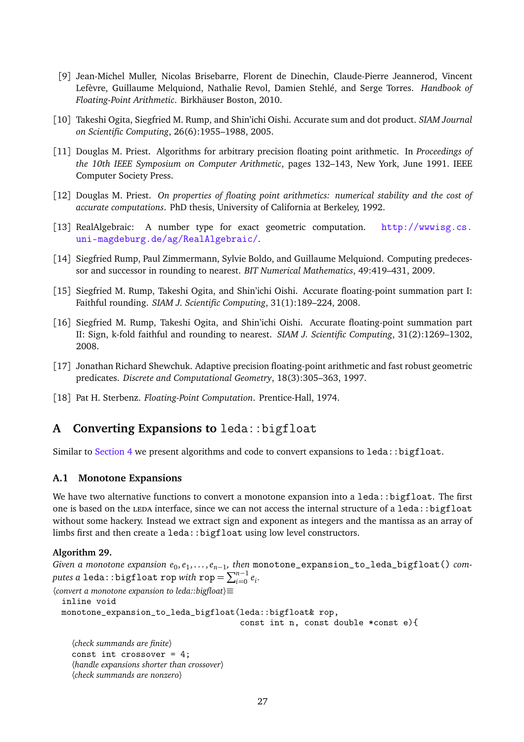- <span id="page-30-0"></span>[9] Jean-Michel Muller, Nicolas Brisebarre, Florent de Dinechin, Claude-Pierre Jeannerod, Vincent Lefèvre, Guillaume Melquiond, Nathalie Revol, Damien Stehlé, and Serge Torres. *Handbook of Floating-Point Arithmetic*. Birkhäuser Boston, 2010.
- <span id="page-30-7"></span>[10] Takeshi Ogita, Siegfried M. Rump, and Shin'ichi Oishi. Accurate sum and dot product. *SIAM Journal on Scientific Computing*, 26(6):1955–1988, 2005.
- <span id="page-30-1"></span>[11] Douglas M. Priest. Algorithms for arbitrary precision floating point arithmetic. In *Proceedings of the 10th IEEE Symposium on Computer Arithmetic*, pages 132–143, New York, June 1991. IEEE Computer Society Press.
- <span id="page-30-2"></span>[12] Douglas M. Priest. *On properties of floating point arithmetics: numerical stability and the cost of accurate computations*. PhD thesis, University of California at Berkeley, 1992.
- <span id="page-30-4"></span>[13] RealAlgebraic: A number type for exact geometric computation. [http://wwwisg.cs.](http://wwwisg.cs.uni-magdeburg.de/ag/RealAlgebraic/) [uni-magdeburg.de/ag/RealAlgebraic/](http://wwwisg.cs.uni-magdeburg.de/ag/RealAlgebraic/).
- <span id="page-30-6"></span>[14] Siegfried Rump, Paul Zimmermann, Sylvie Boldo, and Guillaume Melquiond. Computing predecessor and successor in rounding to nearest. *BIT Numerical Mathematics*, 49:419–431, 2009.
- <span id="page-30-5"></span>[15] Siegfried M. Rump, Takeshi Ogita, and Shin'ichi Oishi. Accurate floating-point summation part I: Faithful rounding. *SIAM J. Scientific Computing*, 31(1):189–224, 2008.
- <span id="page-30-9"></span>[16] Siegfried M. Rump, Takeshi Ogita, and Shin'ichi Oishi. Accurate floating-point summation part II: Sign, k-fold faithful and rounding to nearest. *SIAM J. Scientific Computing*, 31(2):1269–1302, 2008.
- <span id="page-30-3"></span>[17] Jonathan Richard Shewchuk. Adaptive precision floating-point arithmetic and fast robust geometric predicates. *Discrete and Computational Geometry*, 18(3):305–363, 1997.
- <span id="page-30-8"></span>[18] Pat H. Sterbenz. *Floating-Point Computation*. Prentice-Hall, 1974.

# <span id="page-30-10"></span>**A Converting Expansions to** leda::bigfloat

Similar to [Section 4](#page-20-0) we present algorithms and code to convert expansions to  $\text{leda}:$ :bigfloat.

### **A.1 Monotone Expansions**

We have two alternative functions to convert a monotone expansion into a  $\text{leda}:$  bigfloat. The first one is based on the LEDA interface, since we can not access the internal structure of a leda::bigfloat without some hackery. Instead we extract sign and exponent as integers and the mantissa as an array of limbs first and then create a leda::bigfloat using low level constructors.

### **Algorithm 29.**

*Given a monotone expansion e*<sub>0</sub>,e<sub>1</sub>,...,e<sub>n−1</sub>,then monotone\_expansion\_to\_leda\_bigfloat() *com* $p$ utes a leda::bigfloat rop *with* rop  $= \sum_{i=0}^{n-1} e_i$ .

```
〈convert a monotone expansion to leda::bigfloat〉≡
  inline void
```
monotone\_expansion\_to\_leda\_bigfloat(leda::bigfloat& rop,

const int n, const double \*const e){

```
〈check summands are finite〉
const int crossover = 4;
〈handle expansions shorter than crossover〉
〈check summands are nonzero〉
```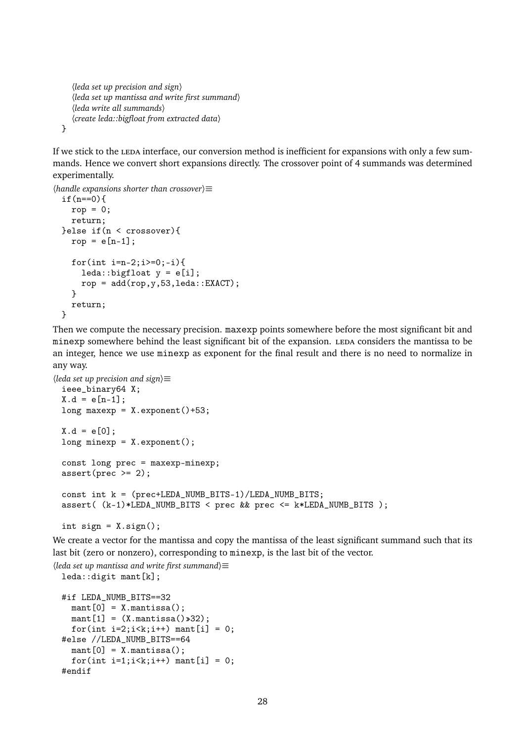```
〈leda set up precision and sign〉
   〈leda set up mantissa and write first summand〉
   〈leda write all summands〉
   〈create leda::bigfloat from extracted data〉
}
```
If we stick to the LEDA interface, our conversion method is inefficient for expansions with only a few summands. Hence we convert short expansions directly. The crossover point of 4 summands was determined experimentally.

```
〈handle expansions shorter than crossover〉≡
 if(n==0){
   rop = 0;return;
 }else if(n < crossover){
   rop = e[n-1];for(int i=n-2;i>=0; -i){
      leda::bigfloat y = e[i];
      rop = add(rop, y, 53, leda::EXACT);}
   return;
 }
```
Then we compute the necessary precision. maxexp points somewhere before the most significant bit and minexp somewhere behind the least significant bit of the expansion. LEDA considers the mantissa to be an integer, hence we use minexp as exponent for the final result and there is no need to normalize in any way.

```
〈leda set up precision and sign〉≡
 ieee_binary64 X;
 X.d = e[n-1];long maxexp = X.exponent()+53;X.d = e[0];long minexp = X.exponent();
 const long prec = maxexp-minexp;
 assert(prec >= 2);const int k = (prec+LEDA_NUMB_BITS-1)/LEDA_NUMB_BITS;
 assert( (k-1)*LEDA_NUMB_BITS < prec && prec <= k*LEDA_NUMB_BITS );
```

```
int sign = X \text{.sign}();
```
We create a vector for the mantissa and copy the mantissa of the least significant summand such that its last bit (zero or nonzero), corresponding to minexp, is the last bit of the vector.

```
〈leda set up mantissa and write first summand〉≡
 leda::digit mant[k];
 #if LEDA_NUMB_BITS==32
    mant[0] = X.mantissa();
    mant[1] = (X.mantissa() \times 32);for(int i=2; i < k; i++) mant[i] = 0;
 #else //LEDA_NUMB_BITS==64
    mant[0] = X.mantissa();
    for(int i=1; i < k; i++) mant[i] = 0;#endif
```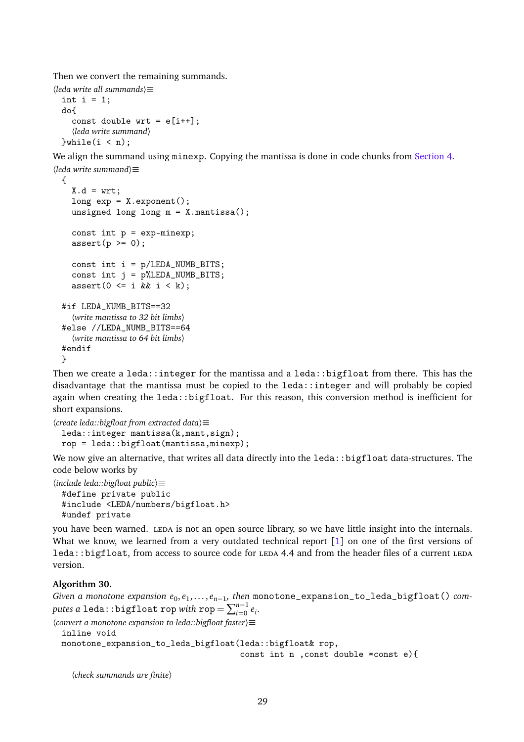Then we convert the remaining summands.

```
〈leda write all summands〉≡
 int i = 1;
 do{
    const double wrt = e[i++];〈leda write summand〉
 }while(i < n);
```
We align the summand using minexp. Copying the mantissa is done in code chunks from [Section 4.](#page-20-0)

```
〈leda write summand〉≡
 {
   X.d = wrt:
    long exp = X.exponent();
    unsigned long long m = X.mantissa();
    const int p = exp-minexp;
    assert(p \ge 0);const int i = p/LEDA_NUMB_BITS;
    const int j = p%LEDA_NUMB_BITS;
    assert(0 \leq i \& k \neq i \leq k);
 #if LEDA NUMB BITS==32
    〈write mantissa to 32 bit limbs〉
 #else //LEDA_NUMB_BITS==64
    〈write mantissa to 64 bit limbs〉
 #endif
 }
```
Then we create a leda::integer for the mantissa and a leda::bigfloat from there. This has the disadvantage that the mantissa must be copied to the leda::integer and will probably be copied again when creating the leda::bigfloat. For this reason, this conversion method is inefficient for short expansions.

```
〈create leda::bigfloat from extracted data〉≡
 leda::integer mantissa(k,mant,sign);
 rop = leda::bigfloat(mantissa,minexp);
```
We now give an alternative, that writes all data directly into the leda::bigfloat data-structures. The code below works by

```
〈include leda::bigfloat public〉≡
 #define private public
 #include <LEDA/numbers/bigfloat.h>
 #undef private
```
you have been warned. LEDA is not an open source library, so we have little insight into the internals. What we know, we learned from a very outdated technical report [[1](#page-29-7)] on one of the first versions of leda::bigfloat, from access to source code for LEDA 4.4 and from the header files of a current LEDA version.

### **Algorithm 30.**

*Given a monotone expansion e*<sub>0</sub>,e<sub>1</sub>,...,e<sub>n−1</sub>,then monotone\_expansion\_to\_leda\_bigfloat() *com* $p$ utes a leda::bigfloat rop *with* rop  $= \sum_{i=0}^{n-1} e_i$ .

〈*convert a monotone expansion to leda::bigfloat faster*〉≡

```
inline void
monotone_expansion_to_leda_bigfloat(leda::bigfloat& rop,
                                    const int n ,const double *const e){
```
〈*check summands are finite*〉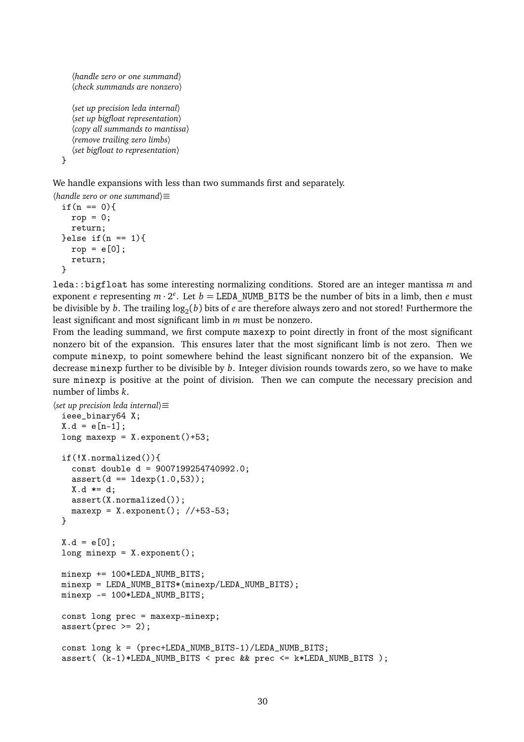```
〈handle zero or one summand〉
  〈check summands are nonzero〉
  〈set up precision leda internal〉
  〈set up bigfloat representation〉
  〈copy all summands to mantissa〉
  〈remove trailing zero limbs〉
  〈set bigfloat to representation〉
}
```
We handle expansions with less than two summands first and separately.

```
〈handle zero or one summand〉≡
 if(n == 0){
   rop = 0;return;
 }else if(n == 1){
   rop = e[0];return;
 }
```
leda::bigfloat has some interesting normalizing conditions. Stored are an integer mantissa *m* and exponent *e* representing  $m \cdot 2^e$ . Let  $b = \text{LEDA}_N$ UMB\_BITS be the number of bits in a limb, then *e* must be divisible by  $b.$  The trailing  $\log_2(b)$  bits of  $e$  are therefore always zero and not stored! Furthermore the least significant and most significant limb in *m* must be nonzero.

From the leading summand, we first compute maxexp to point directly in front of the most significant nonzero bit of the expansion. This ensures later that the most significant limb is not zero. Then we compute minexp, to point somewhere behind the least significant nonzero bit of the expansion. We decrease minexp further to be divisible by *b*. Integer division rounds towards zero, so we have to make sure minexp is positive at the point of division. Then we can compute the necessary precision and number of limbs *k*.

```
〈set up precision leda internal〉≡
 ieee_binary64 X;
 X.d = e[n-1];long maxexp = X.exponent()+53;if(!X.normalized()){
   const double d = 9007199254740992.0;
   assert(d == 1dexp(1.0, 53));
   X.d \neq d;
   assert(X.normalized());
   maxexp = X. exponent(); //+53-53;
 }
 X.d = e[0];long minexp = X.exponent();
 minexp += 100*LEDA_NUMB_BITS;
 minexp = LEDA_NUMB_BITS*(minexp/LEDA_NUMB_BITS);
 minexp -= 100*LEDA_NUMB_BITS;
 const long prec = maxexp-minexp;
 assert(prec >= 2);const long k = (prec+LEDA_NUMB_BITS-1)/LEDA_NUMB_BITS;
 assert( (k-1)*LEDA_NUMB_BITS < prec && prec <= k*LEDA_NUMB_BITS );
```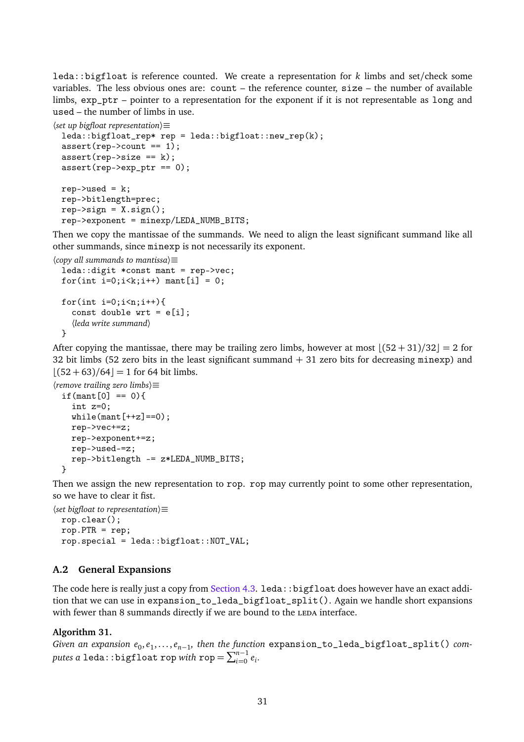leda::bigfloat is reference counted. We create a representation for *k* limbs and set/check some variables. The less obvious ones are: count – the reference counter, size – the number of available limbs, exp\_ptr – pointer to a representation for the exponent if it is not representable as long and used – the number of limbs in use.

```
〈set up bigfloat representation〉≡
 leda::bigfloat_rep* rep = leda::bigfloat::new_rep(k);
 assert(rep->count == 1);assert(rep->size == k);assert(rep->exp_ptr == 0);rep->used = k;
 rep->bitlength=prec;
 rep\text{-}\text{sign} = X \text{.sign}();
 rep->exponent = minexp/LEDA_NUMB_BITS;
```
Then we copy the mantissae of the summands. We need to align the least significant summand like all other summands, since minexp is not necessarily its exponent.

```
〈copy all summands to mantissa〉≡
 leda::digit *const mant = rep->vec;
 for(int i=0; i \lt k; i++) mant[i] = 0;
 for(int i=0;i\leq n;i++){
    const double wrt = e[i];〈leda write summand〉
 }
```
After copying the mantissae, there may be trailing zero limbs, however at most  $|(52 + 31)/32| = 2$  for 32 bit limbs (52 zero bits in the least significant summand  $+31$  zero bits for decreasing minexp) and  $|(52 + 63)/64| = 1$  for 64 bit limbs.

```
〈remove trailing zero limbs〉≡
 if(mant[0] == 0){
    int z=0;
    while(maxt[++z]=-0);rep->vec+=z;
   rep->exponent+=z;
   rep->used-=z;
    rep->bitlength -= z*LEDA_NUMB_BITS;
 }
```
Then we assign the new representation to rop. rop may currently point to some other representation, so we have to clear it fist.

```
〈set bigfloat to representation〉≡
 rop.clear();
 rop.PTR = rep;rop.special = leda::bigfloat::NOT_VAL;
```
### **A.2 General Expansions**

The code here is really just a copy from [Section 4.3.](#page-25-0) leda::bigfloat does however have an exact addition that we can use in expansion\_to\_leda\_bigfloat\_split(). Again we handle short expansions with fewer than 8 summands directly if we are bound to the LEDA interface.

### **Algorithm 31.**

*Given an expansion*  $e_0, e_1, \ldots, e_{n-1}$ , then the function expansion\_to\_leda\_bigfloat\_split() com $p$ utes a leda::bigfloat rop *with* rop  $= \sum_{i=0}^{n-1} e_i$ .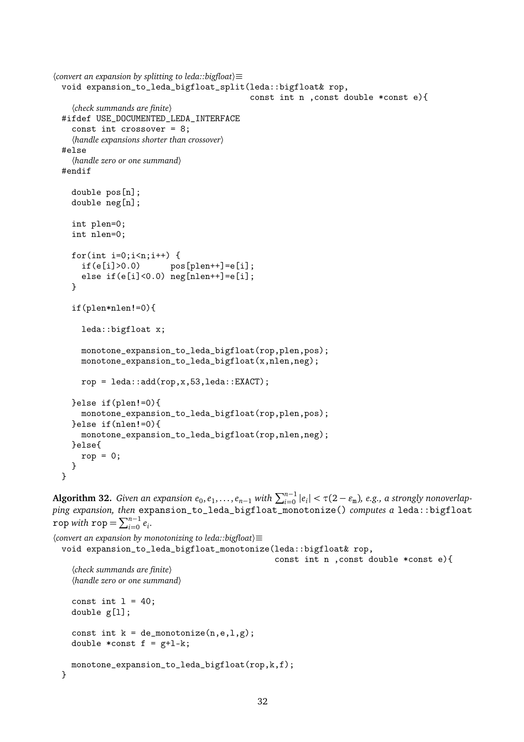```
〈convert an expansion by splitting to leda::bigfloat〉≡
 void expansion_to_leda_bigfloat_split(leda::bigfloat& rop,
                                            const int n ,const double *const e){
    〈check summands are finite〉
 #ifdef USE_DOCUMENTED_LEDA_INTERFACE
    const int crossover = 8;
    〈handle expansions shorter than crossover〉
 #else
    〈handle zero or one summand〉
 #endif
    double pos[n];
    double neg[n];
    int plen=0;
    int nlen=0;
    for(int i=0;i<n;i++) {<br>if(e[i]>0.0) po
                        pos[plen++]=e[i];
      else if(e[i]<0.0) neg[nlen++]=e[i];
    }
    if(plen*nlen!=0){
      leda::bigfloat x;
      monotone_expansion_to_leda_bigfloat(rop,plen,pos);
      monotone_expansion_to_leda_bigfloat(x,nlen,neg);
      rop = leda::add(rop, x, 53, leda::EXACT);}else if(plen!=0){
      monotone_expansion_to_leda_bigfloat(rop,plen,pos);
    }else if(nlen!=0){
      monotone_expansion_to_leda_bigfloat(rop,nlen,neg);
    }else{
      rop = 0;
    }
 }
```

```
Algorithm 32. Given an expansion e<sub>0</sub>, e_1, \ldots, e_{n-1} with \sum_{i=0}^{n-1} |e_i| < \tau(2 - \varepsilon_m), e.g., a strongly nonoverlap-
ping expansion, then expansion_to_leda_bigfloat_monotonize() computes a leda::bigfloat
rop with rop = \sum_{i=0}^{n-1} e_i.
```

```
〈convert an expansion by monotonizing to leda::bigfloat〉≡
 void expansion_to_leda_bigfloat_monotonize(leda::bigfloat& rop,
                                                 const int n ,const double *const e){
    〈check summands are finite〉
    〈handle zero or one summand〉
    const int l = 40;
    double g[l];
    const int k = de_{monotonic}(n,e,1,g);double *const f = g+1-k;
   monotone_expansion_to_leda_bigfloat(rop,k,f);
 }
```